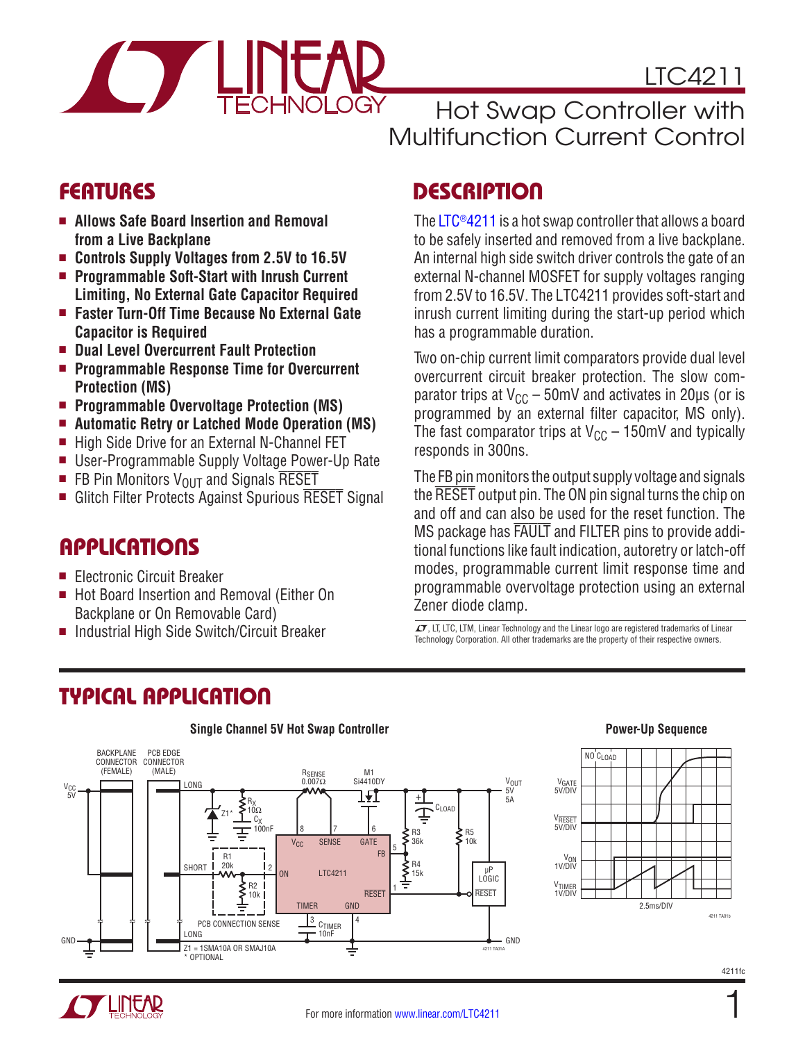

LTC4211

Hot Swap Controller with Multifunction Current Control

The [LTC®4211](http://www.linear.com/LTC4211) is a hot swap controller that allows a board to be safely inserted and removed from a live backplane. An internal high side switch driver controls the gate of an external N-channel MOSFET for supply voltages ranging from 2.5V to 16.5V. The LTC4211 provides soft-start and inrush current limiting during the start-up period which

Two on-chip current limit comparators provide dual level overcurrent circuit breaker protection. The slow comparator trips at  $V_{CC}$  – 50mV and activates in 20µs (or is programmed by an external filter capacitor, MS only). The fast comparator trips at  $V_{CC}$  – 150mV and typically

The FB pin monitors the output supply voltage and signals the RESET output pin. The ON pin signal turns the chip on and off and can also be used for the reset function. The MS package has FAULT and FILTER pins to provide additional functions like fault indication, autoretry or latch-off modes, programmable current limit response time and programmable overvoltage protection using an external

has a programmable duration.

responds in 300ns.

Zener diode clamp.

**Single Channel 5V Hot Swap Controller Power-Up Sequence**

## FEATURES DESCRIPTION

- Allows Safe Board Insertion and Removal **from a Live Backplane**
- Controls Supply Voltages from 2.5V to 16.5V
- Programmable Soft-Start with Inrush Current **Limiting, No External Gate Capacitor Required**
- Faster Turn-Off Time Because No External Gate **Capacitor is Required**
- Dual Level Overcurrent Fault Protection
- Programmable Response Time for Overcurrent **Protection (MS)**
- Programmable Overvoltage Protection (MS)
- Automatic Retry or Latched Mode Operation (MS)
- High Side Drive for an External N-Channel FET
- User-Programmable Supply Voltage Power-Up Rate
- FB Pin Monitors  $V_{OUT}$  and Signals RESET
- **Glitch Filter Protects Against Spurious RESET Signal**

### **APPLICATIONS**

- Electronic Circuit Breaker
- Hot Board Insertion and Removal (Either On Backplane or On Removable Card)
- Industrial High Side Switch/Circuit Breaker

# TYPICAL APPLICATION

#### BACKPLANE PCB EDGE CONNECTOR CONNECTOR<br>(MALF) (FEMALE) (MALE) M1<br>Transport of BENSE M1<br>D.007Ω Si4410 Si4410DY V<sub>OUT</sub><br>5V  $V_{\text{CC}}$   $\qquad$   $\qquad$   $\qquad$   $\qquad$   $\qquad$   $\qquad$   $\qquad$   $\qquad$   $\qquad$   $\qquad$   $\qquad$   $\qquad$   $\qquad$   $\qquad$   $\qquad$   $\qquad$   $\qquad$   $\qquad$   $\qquad$   $\qquad$   $\qquad$   $\qquad$   $\qquad$   $\qquad$   $\qquad$   $\qquad$   $\qquad$   $\qquad$   $\qquad$   $\qquad$   $\qquad$   $\qquad$   $\qquad$   $\qquad$   $\qquad$  V<sub>CC</sub><br>5V IJ + 5A R<sub>X</sub><br>10Ω  $\overline{4}$ CLOAD Z1\* C<sub>X</sub><br>100nF 8 7 6 R5 R3  $10k$ V<sub>CC</sub> SENSE **GATE** 36k 5 FB R<sup>-</sup> **SHORT** 20k R4 15k 2 µP LTC4211 ON LOGIC R2 1 RESET RESET 10k TIMER GND PCB CONNECTION SENSE <u>3</u><br>LONG  $3 \sim 14$ GND LONG 10nF GND Z1 = 1SMA10A OR SMAJ10A 4211 TA01A **OPTIONAL**

 $I$ , LT, LTC, LTM, Linear Technology and the Linear logo are registered trademarks of Linear Technology Corporation. All other trademarks are the property of their respective owners.



4211fc

1

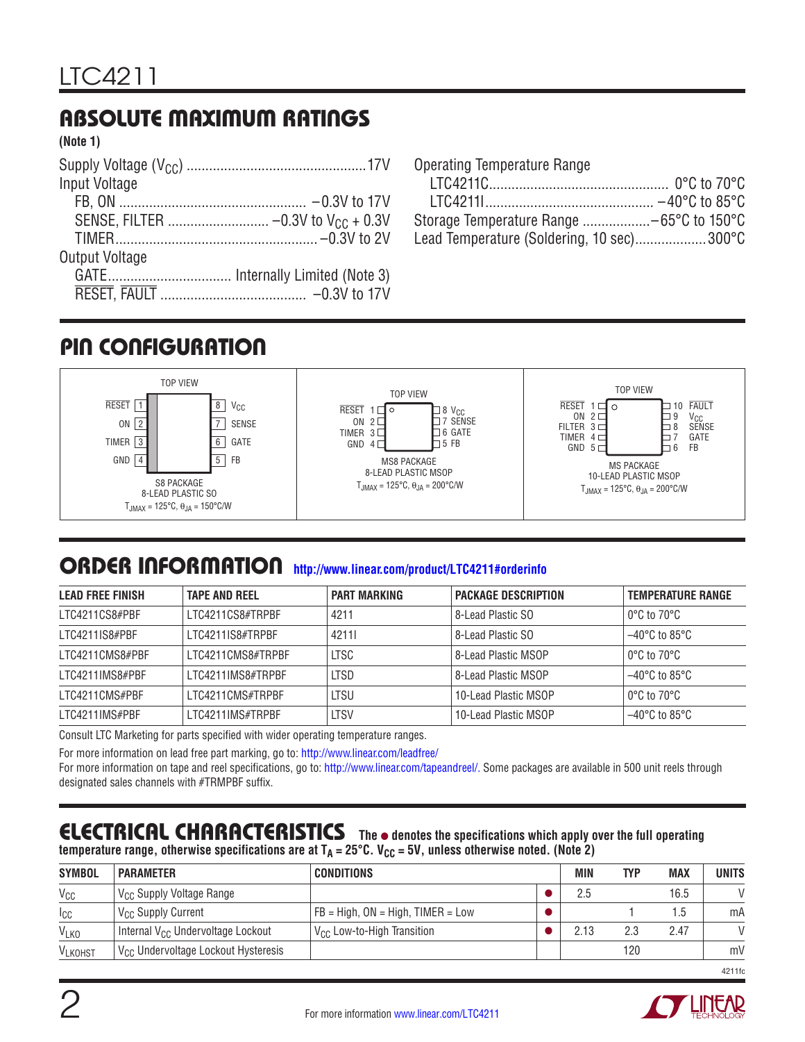# ABSOLUTE MAXIMUM RATINGS

**(Note 1)**

| Input Voltage  |  |
|----------------|--|
|                |  |
|                |  |
|                |  |
| Output Voltage |  |
|                |  |
|                |  |
|                |  |

| Operating Temperature Range               |  |
|-------------------------------------------|--|
|                                           |  |
|                                           |  |
| Storage Temperature Range -65°C to 150°C  |  |
| Lead Temperature (Soldering, 10 sec)300°C |  |

## PIN CONFIGURATION



### ORDER INFORMATION **<http://www.linear.com/product/LTC4211#orderinfo>**

| <b>LEAD FREE FINISH</b> | <b>TAPE AND REEL</b> | <b>PART MARKING</b> | <b>PACKAGE DESCRIPTION</b> | <b>TEMPERATURE RANGE</b>         |
|-------------------------|----------------------|---------------------|----------------------------|----------------------------------|
| LTC4211CS8#PBF          | LTC4211CS8#TRPBF     | 4211                | 8-Lead Plastic SO          | $0^{\circ}$ C to 70 $^{\circ}$ C |
| LTC4211IS8#PBF          | LTC4211IS8#TRPBF     | 42111               | 8-Lead Plastic SO          | $-40^{\circ}$ C to 85°C          |
| I TC4211CMS8#PBF        | I TC4211CMS8#TRPBF   | <b>LTSC</b>         | 8-Lead Plastic MSOP        | $0^{\circ}$ C to 70 $^{\circ}$ C |
| LTC4211IMS8#PBF         | LTC4211IMS8#TRPBF    | <b>LTSD</b>         | 8-Lead Plastic MSOP        | $-40^{\circ}$ C to 85°C          |
| I TC4211CMS#PBF         | I TC4211CMS#TRPBF    | LTSU                | 10-Lead Plastic MSOP       | $0^{\circ}$ C to 70 $^{\circ}$ C |
| LTC4211IMS#PBF          | LTC4211IMS#TRPBF     | <b>LTSV</b>         | 10-Lead Plastic MSOP       | $-40^{\circ}$ C to 85°C          |

Consult LTC Marketing for parts specified with wider operating temperature ranges.

For more information on lead free part marking, go to:<http://www.linear.com/leadfree/>

For more information on tape and reel specifications, go to: <http://www.linear.com/tapeandreel/>. Some packages are available in 500 unit reels through designated sales channels with #TRMPBF suffix.

#### ELECTRICAL CHARACTERISTICS The  $\bullet$  denotes the specifications which apply over the full operating temperature range, otherwise specifications are at T<sub>A</sub> = 25°C. V<sub>CC</sub> = 5V, unless otherwise noted. (Note 2)

| <b>SYMBOL</b>   | <b>PARAMETER</b>                                | <b>CONDITIONS</b>                         | <b>MIN</b> | TYP | <b>MAX</b> | <b>UNITS</b>  |
|-----------------|-------------------------------------------------|-------------------------------------------|------------|-----|------------|---------------|
| V <sub>CC</sub> | V <sub>CC</sub> Supply Voltage Range            |                                           | 2.5        |     | 16.5       | $\mathcal{U}$ |
| $I_{CC}$        | V <sub>CC</sub> Supply Current                  | $FB = High$ , $ON = High$ , $TIMER = Low$ |            |     | l.5        | mA            |
| <b>VLKO</b>     | Internal V <sub>CC</sub> Undervoltage Lockout   | $V_{\text{CC}}$ Low-to-High Transition    | 2.13       | 2.3 | 2.47       | $\mathcal{U}$ |
| <b>VLKOHST</b>  | V <sub>CC</sub> Undervoltage Lockout Hysteresis |                                           |            | 120 |            | mV            |



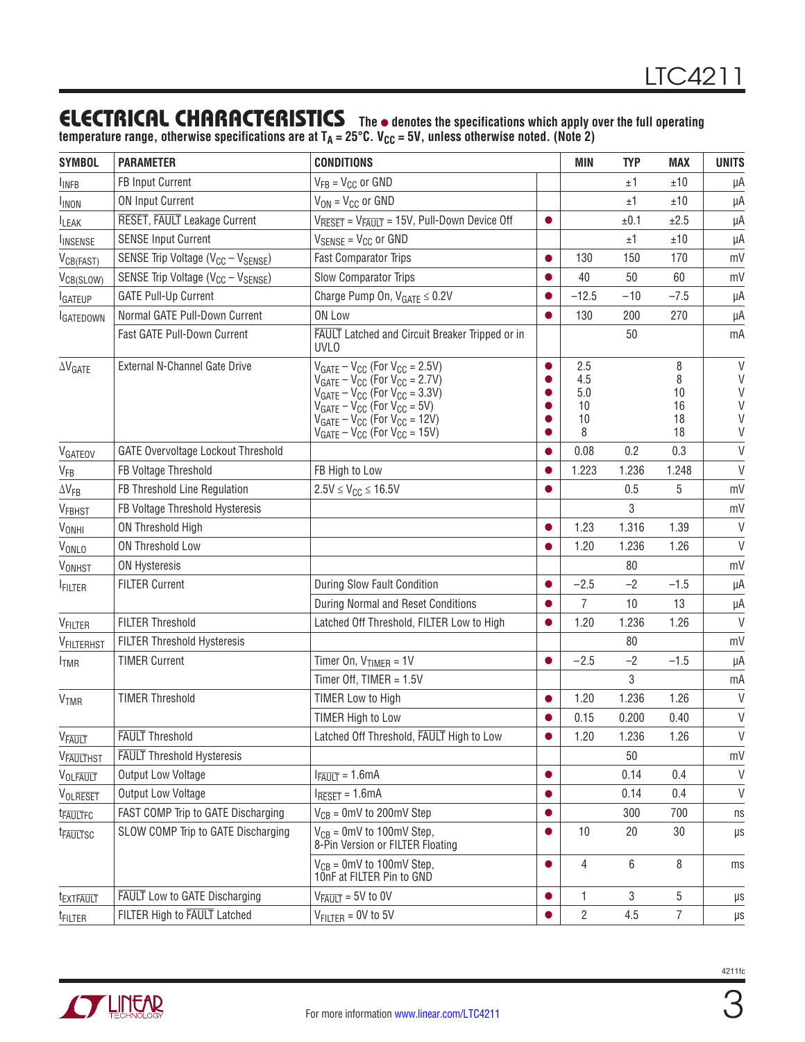### **ELECTRICAL CHARACTERISTICS** The  $\bullet$  denotes the specifications which apply over the full operating

temperature range, otherwise specifications are at T<sub>A</sub> = 25°C. V<sub>CC</sub> = 5V, unless otherwise noted. (Note 2)

| <b>SYMBOL</b>            | <b>PARAMETER</b>                                           | <b>CONDITIONS</b>                                                                                                                                                                                                                                                            |           | <b>MIN</b>                         | <b>TYP</b> | MAX                            | <b>UNITS</b>                               |
|--------------------------|------------------------------------------------------------|------------------------------------------------------------------------------------------------------------------------------------------------------------------------------------------------------------------------------------------------------------------------------|-----------|------------------------------------|------------|--------------------------------|--------------------------------------------|
| <b>INFB</b>              | FB Input Current                                           | $V_{FB} = V_{CC}$ or GND                                                                                                                                                                                                                                                     |           |                                    | ±1         | ±10                            | μA                                         |
| <b>INON</b>              | <b>ON Input Current</b>                                    | $V_{ON} = V_{CC}$ or GND                                                                                                                                                                                                                                                     |           |                                    | ±1         | ±10                            | μA                                         |
| <b>LEAK</b>              | RESET, FAULT Leakage Current                               | $V_{\overline{R} \overline{S} \overline{S} \overline{T}} = V_{\overline{F} \overline{A} \overline{U} \overline{T}} = 15V$ , Pull-Down Device Off                                                                                                                             | $\bullet$ |                                    | ±0.1       | ±2.5                           | μA                                         |
| <b>INSENSE</b>           | <b>SENSE Input Current</b>                                 | $V_{\text{SENSE}} = V_{\text{CC}}$ or GND                                                                                                                                                                                                                                    |           |                                    | ±1         | ±10                            | μA                                         |
| V <sub>CB(FAST)</sub>    | SENSE Trip Voltage (V <sub>CC</sub> - V <sub>SENSE</sub> ) | <b>Fast Comparator Trips</b>                                                                                                                                                                                                                                                 | $\bullet$ | 130                                | 150        | 170                            | mV                                         |
| V <sub>CB(SLOW)</sub>    | SENSE Trip Voltage $(V_{CC} - V_{SENSE})$                  | Slow Comparator Trips                                                                                                                                                                                                                                                        |           | 40                                 | 50         | 60                             | mV                                         |
| <b>I</b> GATEUP          | <b>GATE Pull-Up Current</b>                                | Charge Pump On, $V_{GATE} \leq 0.2V$                                                                                                                                                                                                                                         |           | $-12.5$                            | $-10$      | $-7.5$                         | μA                                         |
| <b>IGATEDOWN</b>         | Normal GATE Pull-Down Current                              | ON Low                                                                                                                                                                                                                                                                       |           | 130                                | 200        | 270                            | μA                                         |
|                          | Fast GATE Pull-Down Current                                | <b>FAULT</b> Latched and Circuit Breaker Tripped or in<br><b>UVLO</b>                                                                                                                                                                                                        |           |                                    | 50         |                                | mA                                         |
| $\Delta V$ GATE          | External N-Channel Gate Drive                              | $V_{GATE} - V_{CC}$ (For $V_{CC} = 2.5V$ )<br>$V_{GATE} - V_{CC}$ (For $V_{CC} = 2.7V$ )<br>$V_{GATE} - V_{CC}$ (For $V_{CC} = 3.3V$ )<br>$V_{GATE} - V_{CC}$ (For $V_{CC} = 5V$ )<br>$V_{GATE} - V_{CC}$ (For $V_{CC} = 12V$ )<br>$V_{GATE} - V_{CC}$ (For $V_{CC} = 15V$ ) | $\bullet$ | 2.5<br>4.5<br>5.0<br>10<br>10<br>8 |            | 8<br>8<br>10<br>16<br>18<br>18 | $\mathsf{V}$<br>V<br>V<br>V<br>V<br>$\vee$ |
| VGATEOV                  | <b>GATE Overvoltage Lockout Threshold</b>                  |                                                                                                                                                                                                                                                                              |           | 0.08                               | 0.2        | 0.3                            | V                                          |
| V <sub>FB</sub>          | FB Voltage Threshold                                       | FB High to Low                                                                                                                                                                                                                                                               | $\bullet$ | 1.223                              | 1.236      | 1.248                          | $\vee$                                     |
| $\Delta V_{FB}$          | FB Threshold Line Regulation                               | $2.5V \le V_{CC} \le 16.5V$                                                                                                                                                                                                                                                  |           |                                    | 0.5        | 5                              | mV                                         |
| VFBHST                   | FB Voltage Threshold Hysteresis                            |                                                                                                                                                                                                                                                                              |           |                                    | 3          |                                | mV                                         |
| VONHI                    | <b>ON Threshold High</b>                                   |                                                                                                                                                                                                                                                                              |           | 1.23                               | 1.316      | 1.39                           | V                                          |
| VONLO                    | ON Threshold Low                                           |                                                                                                                                                                                                                                                                              |           | 1.20                               | 1.236      | 1.26                           | $\vee$                                     |
| <b>VONHST</b>            | <b>ON Hysteresis</b>                                       |                                                                                                                                                                                                                                                                              |           |                                    | 80         |                                | mV                                         |
| <b>FILTER</b>            | <b>FILTER Current</b>                                      | During Slow Fault Condition                                                                                                                                                                                                                                                  |           | $-2.5$                             | $-2$       | $-1.5$                         | μA                                         |
|                          |                                                            | During Normal and Reset Conditions                                                                                                                                                                                                                                           |           | 7                                  | 10         | 13                             | μA                                         |
| VFILTER                  | <b>FILTER Threshold</b>                                    | Latched Off Threshold, FILTER Low to High                                                                                                                                                                                                                                    |           | 1.20                               | 1.236      | 1.26                           | $\vee$                                     |
| VFILTERHST               | FILTER Threshold Hysteresis                                |                                                                                                                                                                                                                                                                              |           |                                    | 80         |                                | mV                                         |
| <b>ITMR</b>              | <b>TIMER Current</b>                                       | Timer On, $V_{TIMER} = 1V$                                                                                                                                                                                                                                                   | $\bullet$ | $-2.5$                             | $-2$       | $-1.5$                         | μA                                         |
|                          |                                                            | Timer Off, TIMER = $1.5V$                                                                                                                                                                                                                                                    |           |                                    | 3          |                                | mA                                         |
| <b>V<sub>TMR</sub></b>   | <b>TIMER Threshold</b>                                     | <b>TIMER Low to High</b>                                                                                                                                                                                                                                                     |           | 1.20                               | 1.236      | 1.26                           | V                                          |
|                          |                                                            | TIMER High to Low                                                                                                                                                                                                                                                            |           | 0.15                               | 0.200      | 0.40                           | $\vee$                                     |
| <b>V<sub>FAULT</sub></b> | <b>FAULT</b> Threshold                                     | Latched Off Threshold, FAULT High to Low                                                                                                                                                                                                                                     |           | 1.20                               | 1.236      | 1.26                           | $\mathsf{V}$                               |
| <b>VFAULTHST</b>         | <b>FAULT</b> Threshold Hysteresis                          |                                                                                                                                                                                                                                                                              |           |                                    | 50         |                                | mV                                         |
| VOLFAULT                 | <b>Output Low Voltage</b>                                  | $I_{\overline{FAULT}} = 1.6 \text{mA}$                                                                                                                                                                                                                                       | $\bullet$ |                                    | 0.14       | 0.4                            | $\vee$                                     |
| <b>VOLRESET</b>          | Output Low Voltage                                         | $I_{\overline{R}\overline{ESET}} = 1.6mA$                                                                                                                                                                                                                                    | $\bullet$ |                                    | 0.14       | 0.4                            | $\vee$                                     |
| t <sub>FAULTFC</sub>     | FAST COMP Trip to GATE Discharging                         | $V_{CB}$ = 0mV to 200mV Step                                                                                                                                                                                                                                                 |           |                                    | 300        | 700                            | ns                                         |
| t <sub>FAULTSC</sub>     | SLOW COMP Trip to GATE Discharging                         | $V_{CB} = 0$ mV to 100 mV Step,<br>8-Pin Version or FILTER Floating                                                                                                                                                                                                          | $\bullet$ | 10                                 | 20         | 30                             | $\mu s$                                    |
|                          |                                                            | $V_{CB} = 0$ mV to 100mV Step,<br>10nF at FILTER Pin to GND                                                                                                                                                                                                                  | $\bullet$ | 4                                  | 6          | 8                              | ms                                         |
| t <sub>EXTEAULT</sub>    | <b>FAULT</b> Low to GATE Discharging                       | $V_{\overline{FAULT}} = 5V$ to 0V                                                                                                                                                                                                                                            |           | 1                                  | 3          | 5                              | $\mu s$                                    |
| <sup>t</sup> filter      | FILTER High to FAULT Latched                               | $V_{FILTER} = 0V$ to 5V                                                                                                                                                                                                                                                      |           | $\overline{2}$                     | 4.5        | 7                              | μs                                         |



3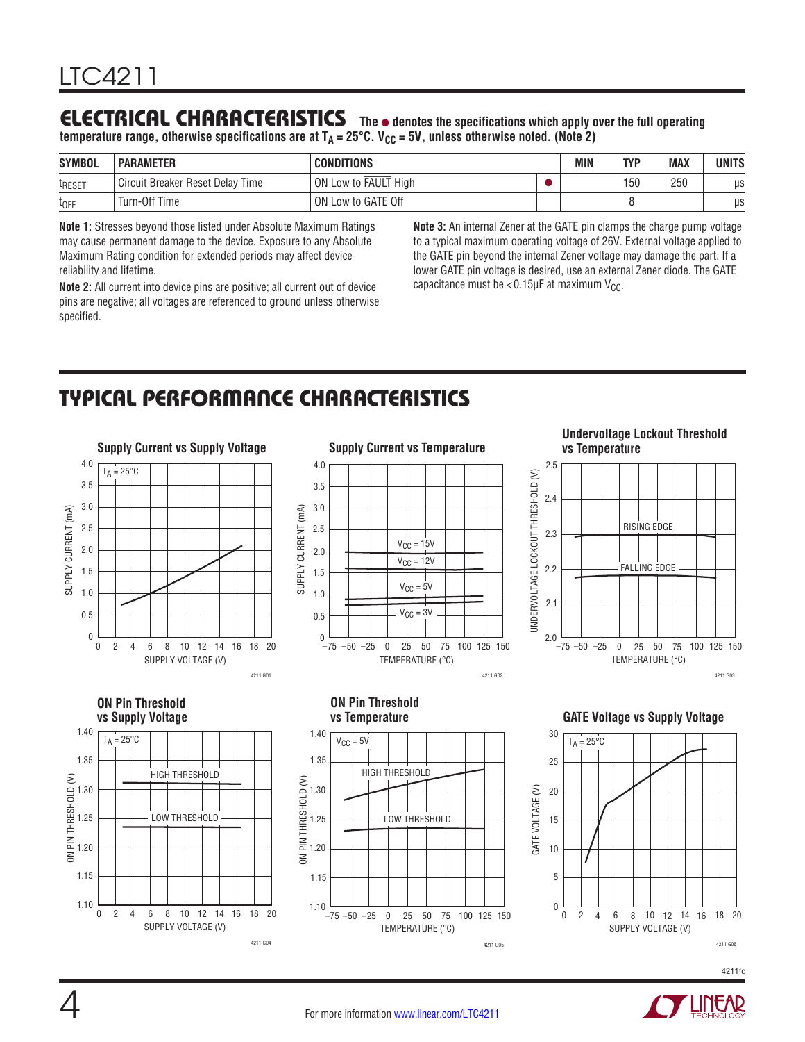### **ELECTRICAL CHARACTERISTICS** The  $\bullet$  denotes the specifications which apply over the full operating

temperature range, otherwise specifications are at T<sub>A</sub> = 25°C. V<sub>CC</sub> = 5V, unless otherwise noted. (Note 2)

| <b>SYMBOL</b>      | <b>PARAMETER</b>                 | <b>CONDITIONS</b>    | <b>MIN</b> | TVP | <b>MAX</b> | <b>UNITS</b> |
|--------------------|----------------------------------|----------------------|------------|-----|------------|--------------|
| t <sub>reset</sub> | Circuit Breaker Reset Delay Time | ON Low to FAULT High |            | 150 | 250        | μs           |
| $t_{OFF}$          | Turn-Off Time                    | ON Low to GATE Off   |            |     |            | μs           |

**Note 1:** Stresses beyond those listed under Absolute Maximum Ratings may cause permanent damage to the device. Exposure to any Absolute Maximum Rating condition for extended periods may affect device reliability and lifetime.

**Note 2:** All current into device pins are positive; all current out of device pins are negative; all voltages are referenced to ground unless otherwise specified.

**Note 3:** An internal Zener at the GATE pin clamps the charge pump voltage to a typical maximum operating voltage of 26V. External voltage applied to the GATE pin beyond the internal Zener voltage may damage the part. If a lower GATE pin voltage is desired, use an external Zener diode. The GATE capacitance must be  $< 0.15$ µF at maximum V<sub>CC</sub>.

## TYPICAL PERFORMANCE CHARACTERISTICS



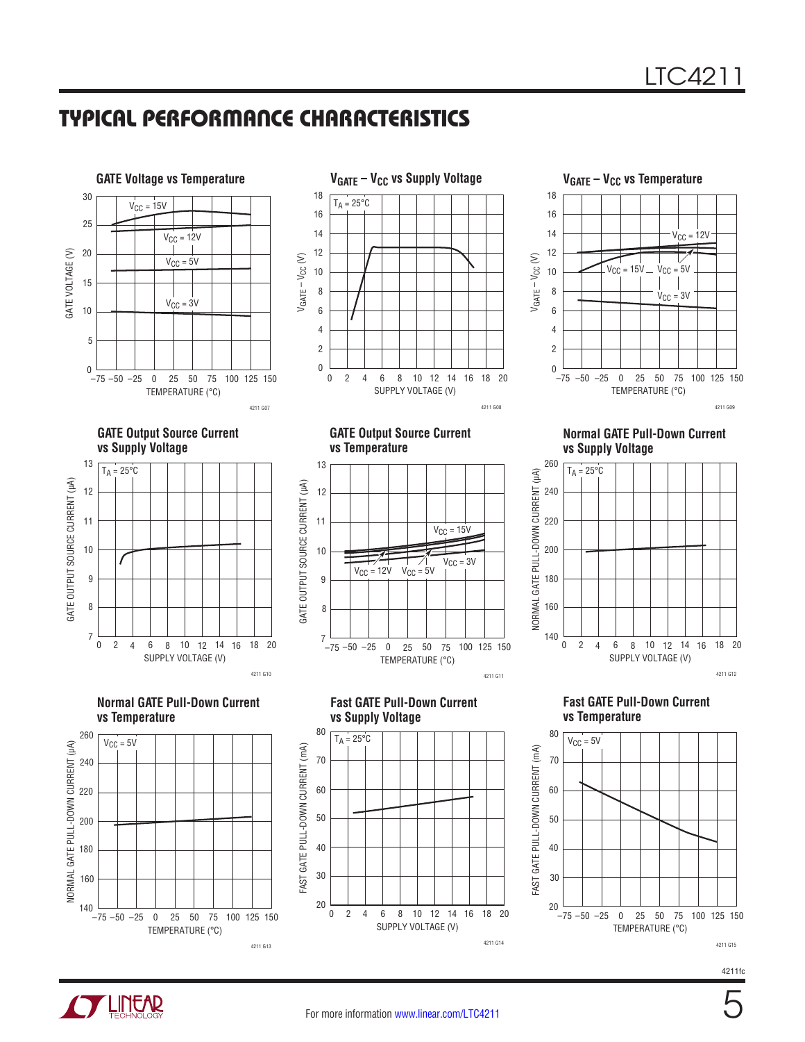





**GATE Output Source Current vs Supply Voltage**



**Normal GATE Pull-Down Current vs Temperature**







**Fast GATE Pull-Down Current**

**vs Supply Voltage**

 $T_A = 25^{\circ}C$ 

20

40

30

60

50

80

70

FAST GATE PULL-DOWN CURRENT (mA)

FAST GATE PULL-DOWN CURRENT (mA)

**Normal GATE Pull-Down Current vs Supply Voltage**



**Fast GATE Pull-Down Current vs Temperature**



4211fc



SUPPLY VOLTAGE (V)

4211 G14

4 8 12 16

20 6 10 14 18 20

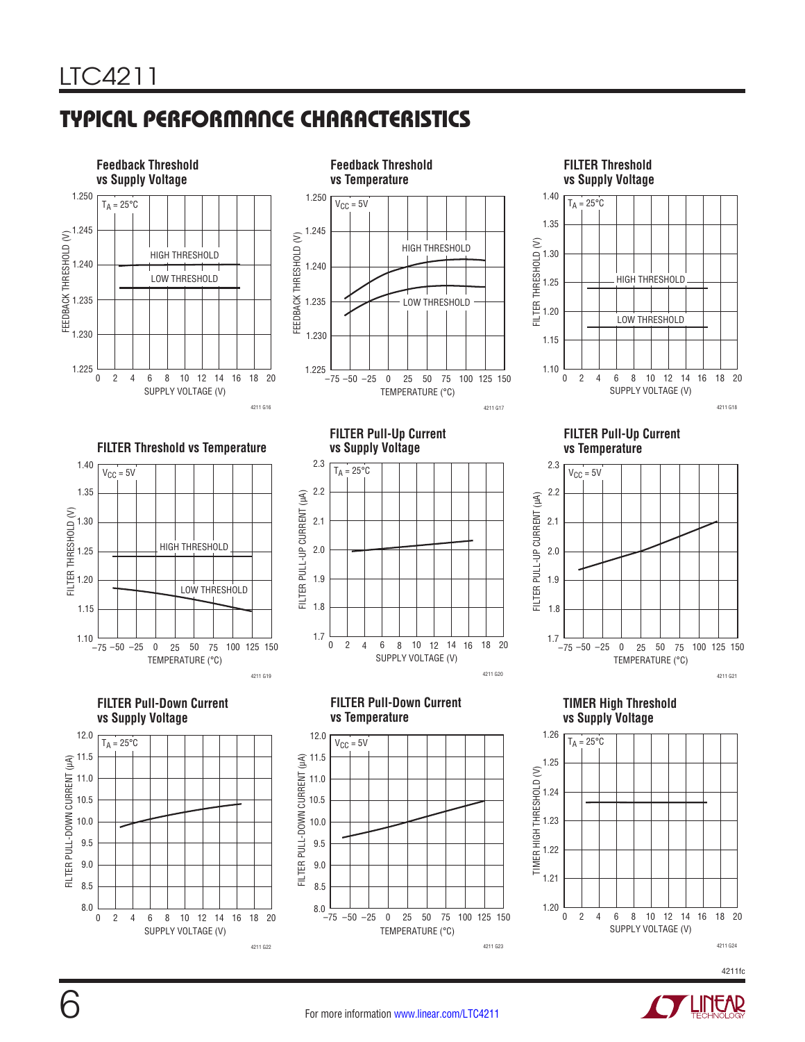



HIGH THRESHOLD





**TIMER High Threshold vs Supply Voltage**







TEMPERATURE (°C)

-50 -25 0 25 50 75 100 125 150

4211 G23

 $-75$   $-50$   $-25$ 

8.0 8.5

 $\boldsymbol{0}$ 

8.5 8.0

SUPPLY VOLTAGE (V)

2 6 10 4 8 12 14 18 20

16

4211 G22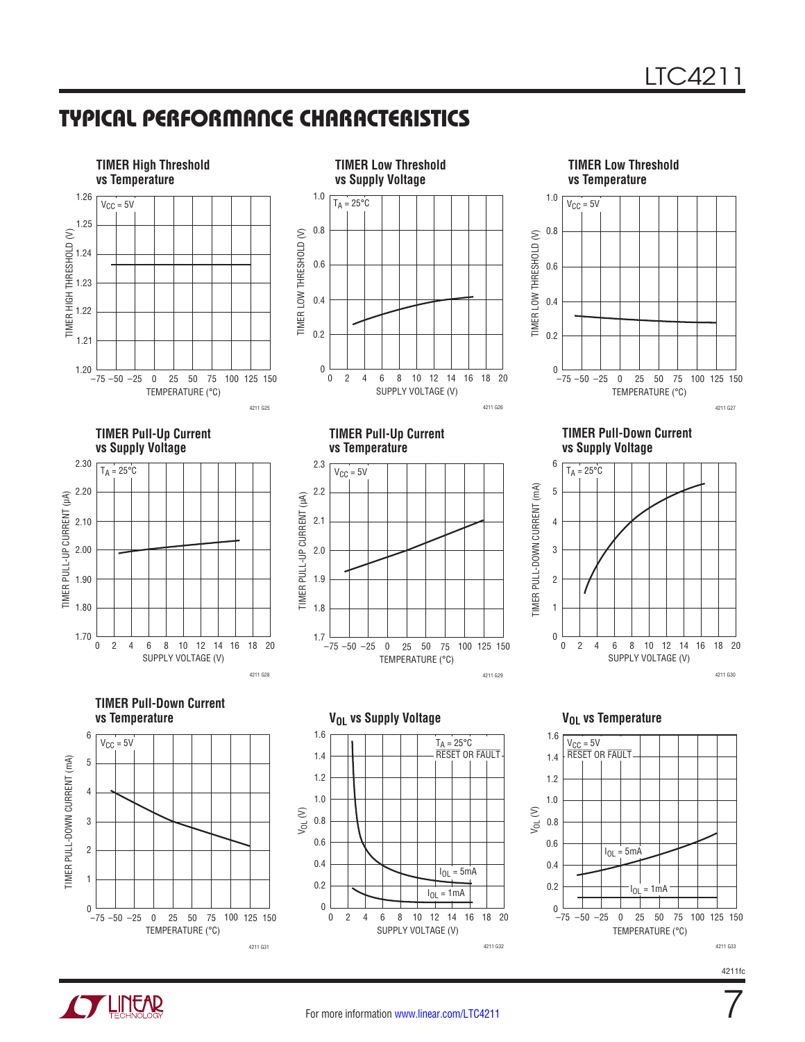



7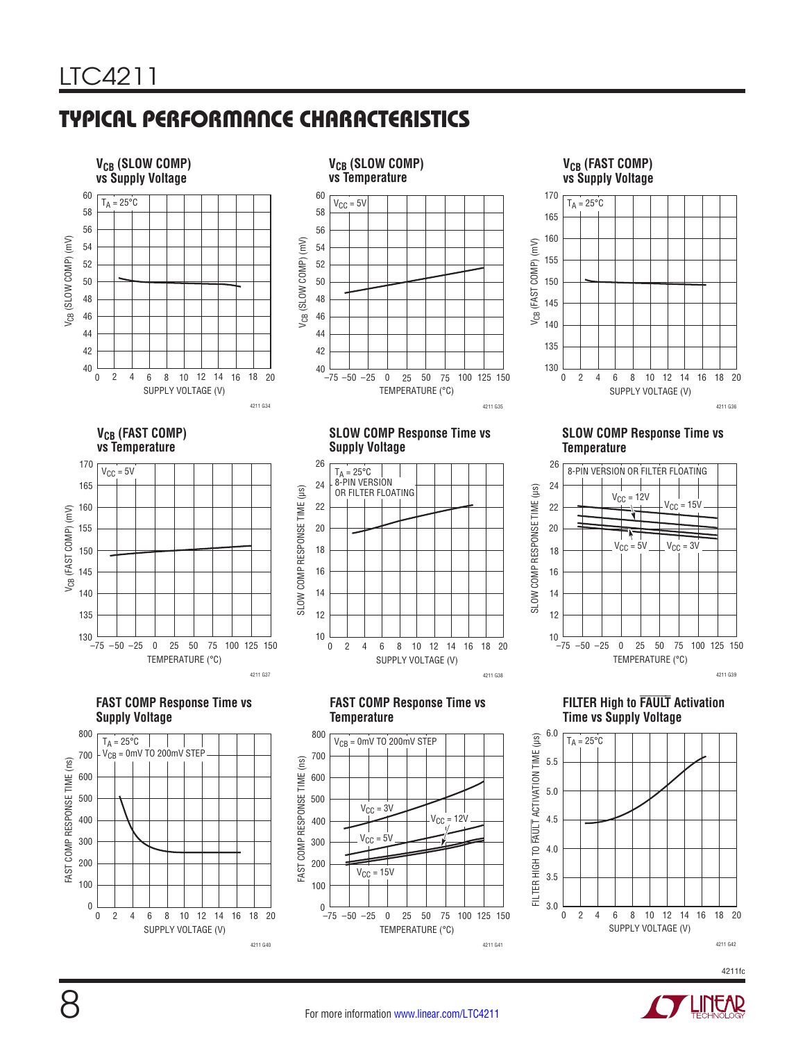





# **FILTER High to FAULT Activation**





4211 G36

4211 G39



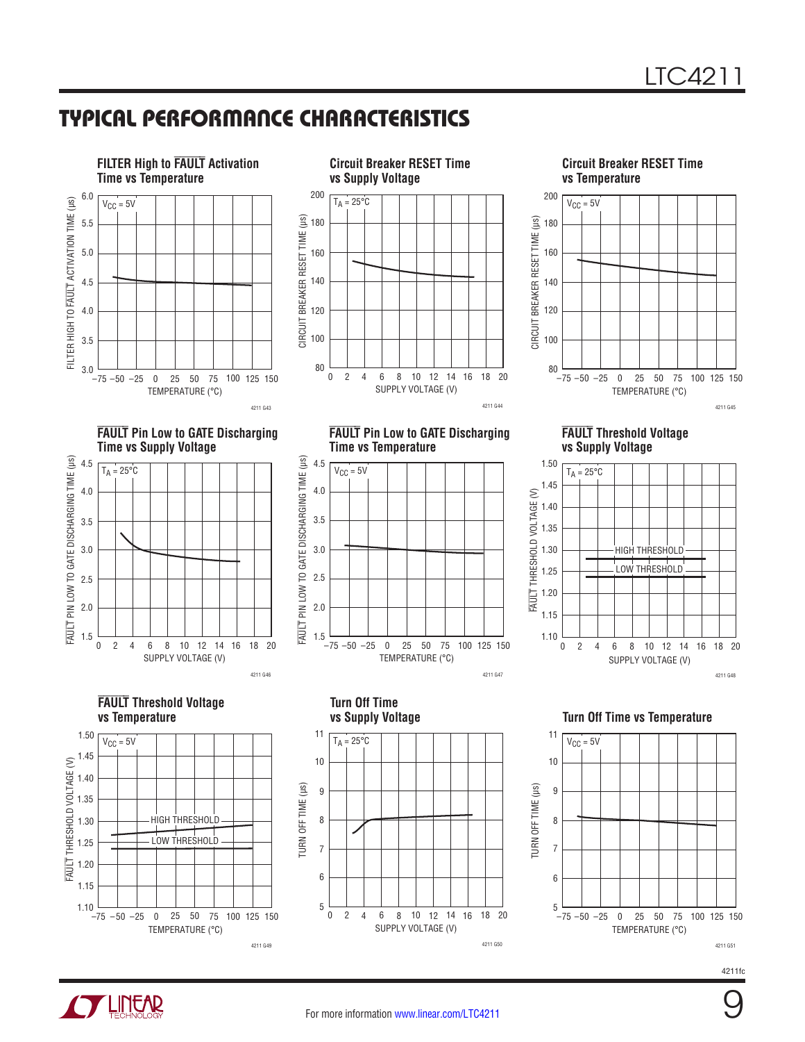



**FAULT Pin Low to GATE Discharging** 





**FAULT Threshold Voltage vs Supply Voltage**



FAULT THRESHOLD VOLTAGE (V)

–75 –50 –25 0 25 50 75 100 125 0 25 50 75 100 125 150 4211 G47



4211fc

4211 G43 **FAULT Pin Low to GATE Discharging** 



**FAULT Threshold Voltage vs Temperature**





1.5

 $2.0$ 

FAULT PIN LOW TO GATE DISCHARGING TO A 4.5<br>
4.5<br>
4.5<br>
4.5<br>
2.0<br>
2.0<br>
1.5 3.0

FAULT PIN LOW TO GATE DISCHARGING TIME (µs)

3.5

2.5

4.0

4.5

 $V_{CC} = 5V$ 

**Time vs Temperature**

TEMPERATURE (°C)





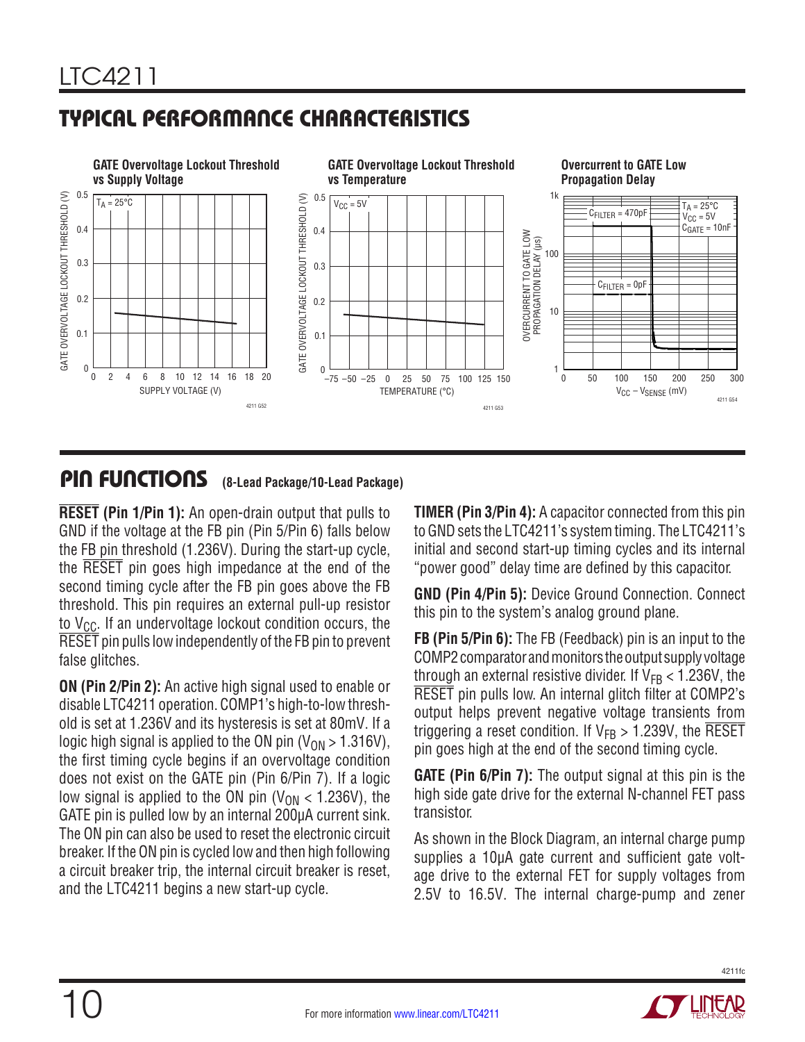

### PIN FUNCTIONS **(8-Lead Package/10-Lead Package)**

**RESET (Pin 1/Pin 1):** An open-drain output that pulls to GND if the voltage at the FB pin (Pin 5/Pin 6) falls below the FB pin threshold (1.236V). During the start-up cycle, the RESET pin goes high impedance at the end of the second timing cycle after the FB pin goes above the FB threshold. This pin requires an external pull-up resistor to  $V_{CC}$ . If an undervoltage lockout condition occurs, the RESET pin pulls low independently of the FB pin to prevent false glitches.

**ON (Pin 2/Pin 2):** An active high signal used to enable or disable LTC4211 operation. COMP1's high-to-low threshold is set at 1.236V and its hysteresis is set at 80mV. If a logic high signal is applied to the ON pin ( $V_{ON} > 1.316V$ ), the first timing cycle begins if an overvoltage condition does not exist on the GATE pin (Pin 6/Pin 7). If a logic low signal is applied to the ON pin  $(V_{ON} < 1.236V)$ , the GATE pin is pulled low by an internal 200µA current sink. The ON pin can also be used to reset the electronic circuit breaker. If the ON pin is cycled low and then high following a circuit breaker trip, the internal circuit breaker is reset, and the LTC4211 begins a new start-up cycle.

**TIMER (Pin 3/Pin 4):** A capacitor connected from this pin to GND sets the LTC4211's system timing. The LTC4211's initial and second start-up timing cycles and its internal "power good" delay time are defined by this capacitor.

**GND (Pin 4/Pin 5):** Device Ground Connection. Connect this pin to the system's analog ground plane.

**FB (Pin 5/Pin 6):** The FB (Feedback) pin is an input to the COMP2 comparator and monitors the output supply voltage through an external resistive divider. If  $V_{FB}$  < 1.236V, the RESET pin pulls low. An internal glitch filter at COMP2's output helps prevent negative voltage transients from triggering a reset condition. If  $V_{FB} > 1.239V$ , the RESET pin goes high at the end of the second timing cycle.

**GATE (Pin 6/Pin 7):** The output signal at this pin is the high side gate drive for the external N-channel FET pass transistor.

As shown in the Block Diagram, an internal charge pump supplies a 10µA gate current and sufficient gate voltage drive to the external FET for supply voltages from 2.5V to 16.5V. The internal charge-pump and zener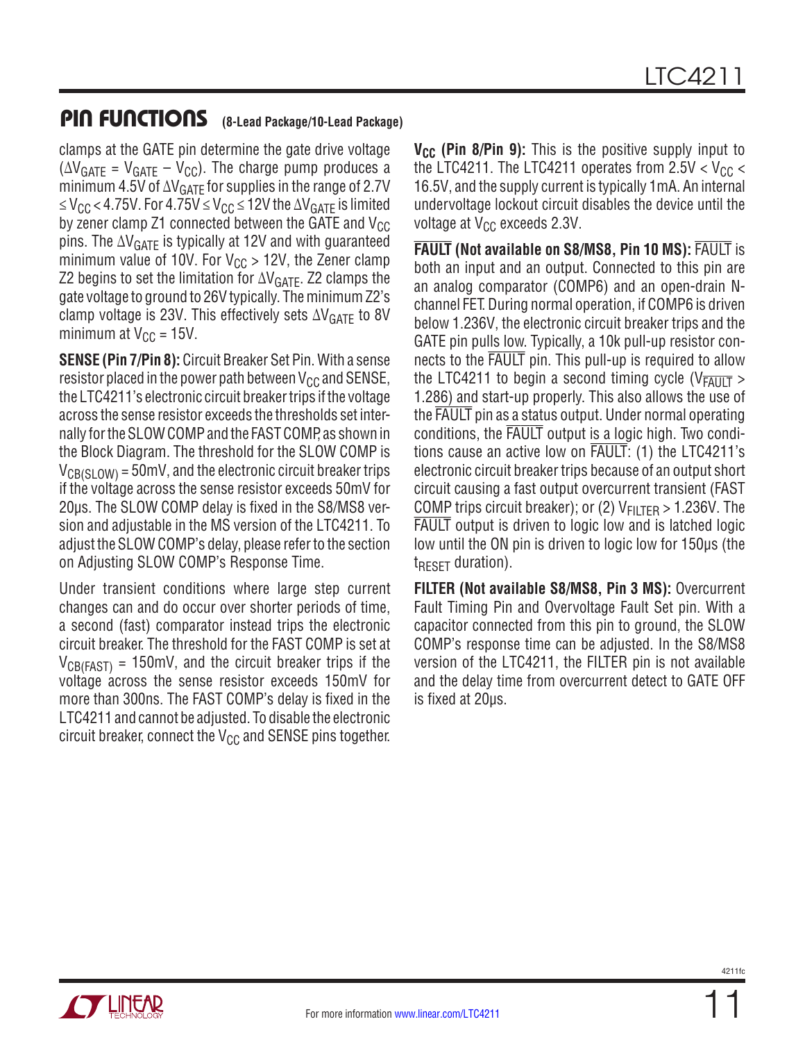### PIN FUNCTIONS **(8-Lead Package/10-Lead Package)**

clamps at the GATE pin determine the gate drive voltage  $(\Delta V_{GATF} = V_{GATF} - V_{CC})$ . The charge pump produces a minimum 4.5V of  $\Delta V_{\text{GATE}}$  for supplies in the range of 2.7V ≤ V<sub>CC</sub> < 4.75V. For 4.75V ≤ V<sub>CC</sub> ≤ 12V the  $\Delta$ V<sub>GATE</sub> is limited by zener clamp Z1 connected between the GATE and  $V_{CC}$ pins. The  $\Delta V_{GATE}$  is typically at 12V and with guaranteed minimum value of 10V. For  $V_{CC}$  > 12V, the Zener clamp Z2 begins to set the limitation for  $\Delta V_{GATF}$ . Z2 clamps the gate voltage to ground to 26V typically. The minimum Z2's clamp voltage is 23V. This effectively sets  $\Delta V_{GATE}$  to 8V minimum at  $V_{CC} = 15V$ .

**SENSE (Pin 7/Pin 8):** Circuit Breaker Set Pin. With a sense resistor placed in the power path between  $V_{CC}$  and SENSE, the LTC4211's electronic circuit breaker trips if the voltage across the sense resistor exceeds the thresholds set internally for the SLOW COMP and the FAST COMP, as shown in the Block Diagram. The threshold for the SLOW COMP is  $V_{\text{CR(SI OW)}} = 50 \text{mV}$ , and the electronic circuit breaker trips if the voltage across the sense resistor exceeds 50mV for 20µs. The SLOW COMP delay is fixed in the S8/MS8 version and adjustable in the MS version of the LTC4211. To adjust the SLOW COMP's delay, please refer to the section on Adjusting SLOW COMP's Response Time.

Under transient conditions where large step current changes can and do occur over shorter periods of time, a second (fast) comparator instead trips the electronic circuit breaker. The threshold for the FAST COMP is set at  $V_{CB(FAST)} = 150$ mV, and the circuit breaker trips if the voltage across the sense resistor exceeds 150mV for more than 300ns. The FAST COMP's delay is fixed in the LTC4211 and cannot be adjusted. To disable the electronic circuit breaker, connect the  $V_{CC}$  and SENSE pins together.

**V<sub>CC</sub>** (Pin 8/Pin 9): This is the positive supply input to the LTC4211. The LTC4211 operates from  $2.5V < V_{CC}$ 16.5V, and the supply current is typically 1mA. An internal undervoltage lockout circuit disables the device until the voltage at  $V_{CC}$  exceeds 2.3V.

**FAULT (Not available on S8/MS8, Pin 10 MS):** FAULT is both an input and an output. Connected to this pin are an analog comparator (COMP6) and an open-drain Nchannel FET. During normal operation, if COMP6 is driven below 1.236V, the electronic circuit breaker trips and the GATE pin pulls low. Typically, a 10k pull-up resistor connects to the FAULT pin. This pull-up is required to allow the LTC4211 to begin a second timing cycle ( $V_{\overline{FAVII}}$ ) 1.286) and start-up properly. This also allows the use of the FAULT pin as a status output. Under normal operating conditions, the FAULT output is a logic high. Two conditions cause an active low on FAULT: (1) the LTC4211's electronic circuit breaker trips because of an output short circuit causing a fast output overcurrent transient (FAST COMP trips circuit breaker); or (2)  $V_{\text{FII TFR}} > 1.236V$ . The FAULT output is driven to logic low and is latched logic low until the ON pin is driven to logic low for 150µs (the  $t_{\text{RFSFT}}$  duration).

**FILTER (Not available S8/MS8, Pin 3 MS):** Overcurrent Fault Timing Pin and Overvoltage Fault Set pin. With a capacitor connected from this pin to ground, the SLOW COMP's response time can be adjusted. In the S8/MS8 version of the LTC4211, the FILTER pin is not available and the delay time from overcurrent detect to GATE OFF is fixed at 20µs.

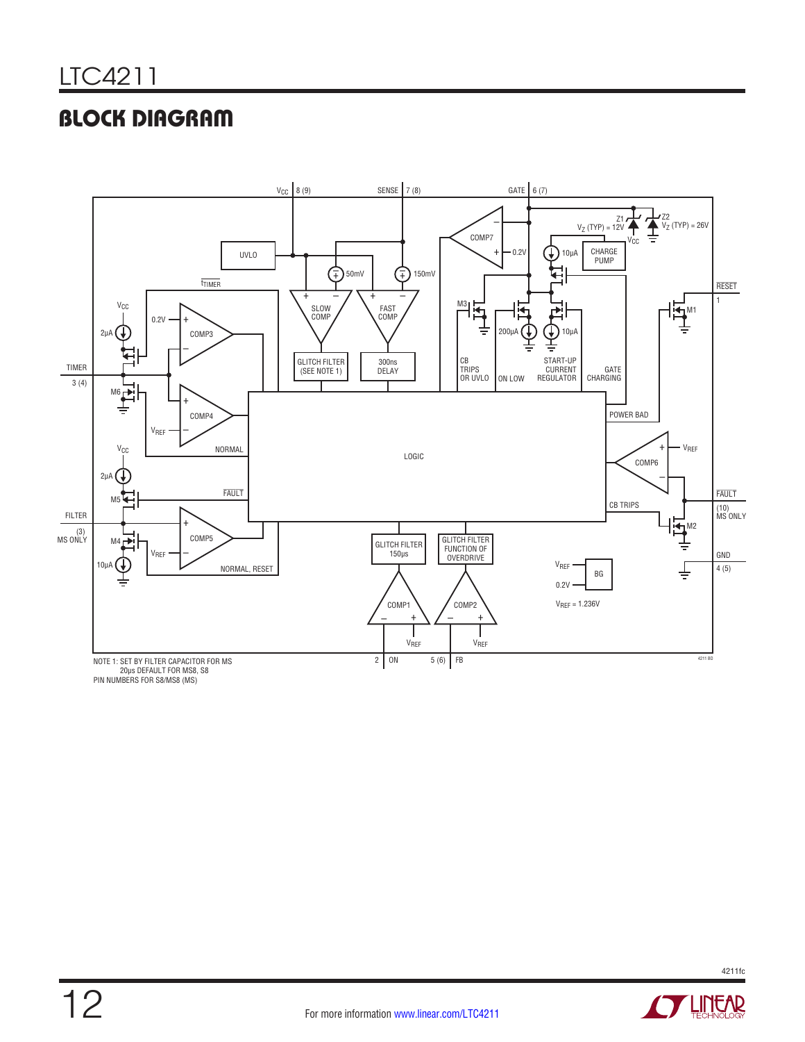# BLOCK DIAGRAM



PIN NUMBERS FOR S8/MS8 (MS)

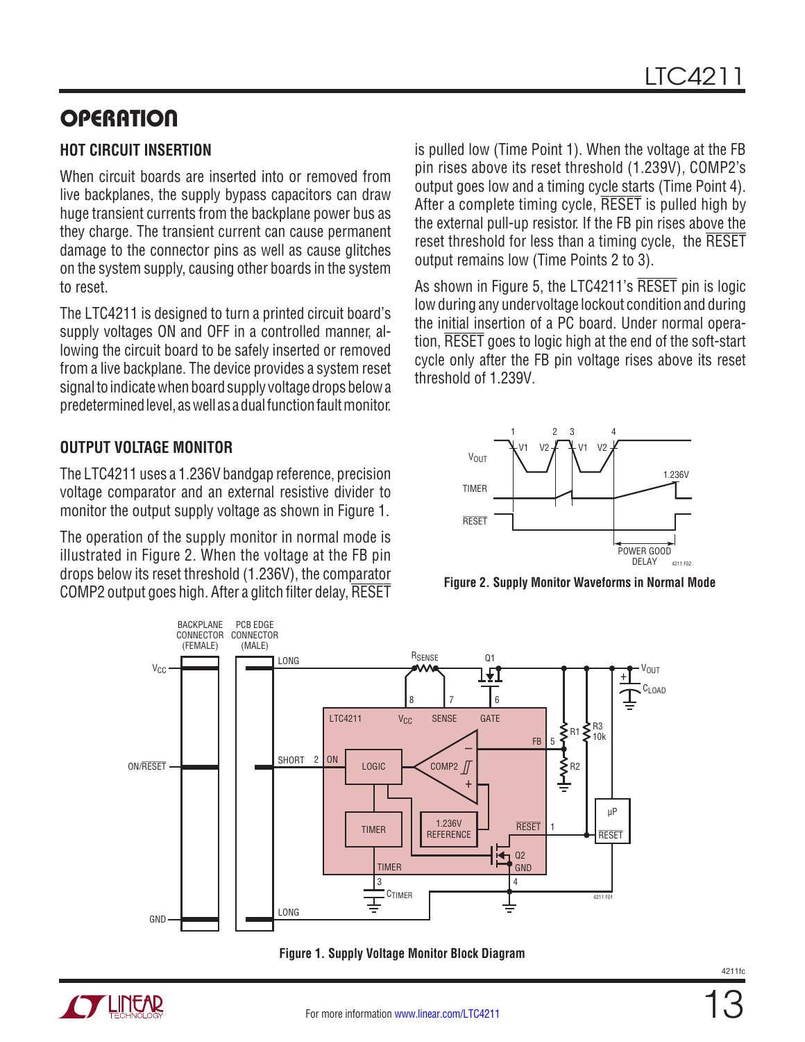### **HOT CIRCUIT INSERTION**

When circuit boards are inserted into or removed from live backplanes, the supply bypass capacitors can draw huge transient currents from the backplane power bus as they charge. The transient current can cause permanent damage to the connector pins as well as cause glitches on the system supply, causing other boards in the system to reset.

The LTC4211 is designed to turn a printed circuit board's supply voltages ON and OFF in a controlled manner, allowing the circuit board to be safely inserted or removed from a live backplane. The device provides a system reset signal to indicate when board supply voltage drops below a predetermined level, as well as a dual function fault monitor.

**OUTPUT VOLTAGE MONITOR**

The LTC4211 uses a 1.236V bandgap reference, precision voltage comparator and an external resistive divider to monitor the output supply voltage as shown in Figure 1.

The operation of the supply monitor in normal mode is illustrated in Figure 2. When the voltage at the FB pin drops below its reset threshold (1.236V), the comparator COMP2 output goes high. After a glitch filter delay, RESET is pulled low (Time Point 1). When the voltage at the FB pin rises above its reset threshold (1.239V), COMP2's output goes low and a timing cycle starts (Time Point 4). After a complete timing cycle, RESET is pulled high by the external pull-up resistor. If the FB pin rises above the reset threshold for less than a timing cycle, the RESET output remains low (Time Points 2 to 3).

As shown in Figure 5, the LTC4211's RESET pin is logic low during any undervoltage lockout condition and during the initial insertion of a PC board. Under normal operation, RESET goes to logic high at the end of the soft-start cycle only after the FB pin voltage rises above its reset threshold of 1.239V.



**Figure 2. Supply Monitor Waveforms in Normal Mode**



**Figure 1. Supply Voltage Monitor Block Diagram**

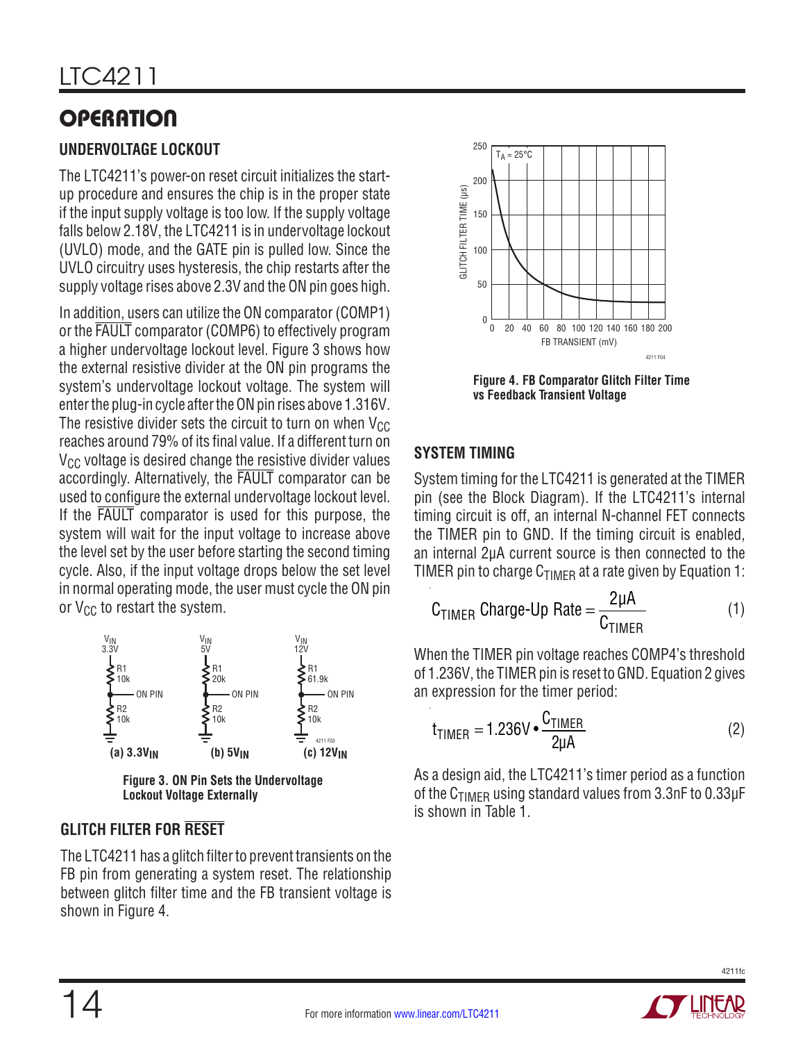### **UNDERVOLTAGE LOCKOUT**

The LTC4211's power-on reset circuit initializes the startup procedure and ensures the chip is in the proper state if the input supply voltage is too low. If the supply voltage falls below 2.18V, the LTC4211 is in undervoltage lockout (UVLO) mode, and the GATE pin is pulled low. Since the UVLO circuitry uses hysteresis, the chip restarts after the supply voltage rises above 2.3V and the ON pin goes high.

In addition, users can utilize the ON comparator (COMP1) or the FAULT comparator (COMP6) to effectively program a higher undervoltage lockout level. Figure 3 shows how the external resistive divider at the ON pin programs the system's undervoltage lockout voltage. The system will enter the plug-in cycle after the ON pin rises above 1.316V. The resistive divider sets the circuit to turn on when  $V_{CC}$ reaches around 79% of its final value. If a different turn on  $V_{CC}$  voltage is desired change the resistive divider values accordingly. Alternatively, the FAULT comparator can be used to configure the external undervoltage lockout level. If the FAULT comparator is used for this purpose, the system will wait for the input voltage to increase above the level set by the user before starting the second timing cycle. Also, if the input voltage drops below the set level in normal operating mode, the user must cycle the ON pin or  $V_{CC}$  to restart the system.



**Lockout Voltage Externally**

### **GLITCH FILTER FOR RESET**

The LTC4211 has a glitch filter to prevent transients on the FB pin from generating a system reset. The relationship between glitch filter time and the FB transient voltage is shown in Figure 4.



**Figure 4. FB Comparator Glitch Filter Time vs Feedback Transient Voltage**

### **SYSTEM TIMING**

System timing for the LTC4211 is generated at the TIMER pin (see the Block Diagram). If the LTC4211's internal timing circuit is off, an internal N-channel FET connects the TIMER pin to GND. If the timing circuit is enabled, an internal 2µA current source is then connected to the TIMER pin to charge  $C_{\text{TIMFR}}$  at a rate given by Equation 1:

$$
C_{TIMER} \text{ Charge-Up Rate} = \frac{2\mu A}{C_{TIMER}} \tag{1}
$$

When the TIMER pin voltage reaches COMP4's threshold of 1.236V, the TIMER pin is reset to GND. Equation 2 gives an expression for the timer period:

$$
t_{TIMER} = 1.236V \cdot \frac{C_{TIMER}}{2\mu A}
$$
 (2)

As a design aid, the LTC4211's timer period as a function of the  $C_{TIMFR}$  using standard values from 3.3nF to 0.33 $\mu$ F is shown in Table 1.

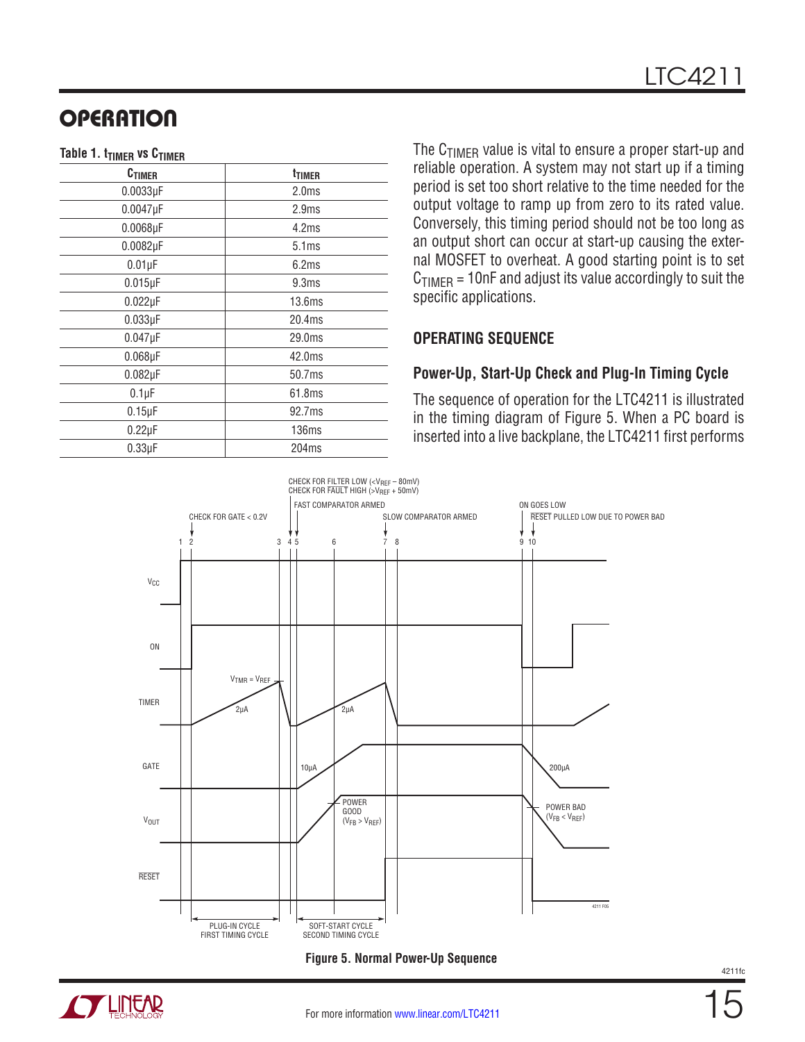#### **Table 1. t<sub>TIMER</sub> vs C<sub>TIMER</sub>**

| <b>C<sub>TIMER</sub></b> | t <sub>TIMER</sub> |  |
|--------------------------|--------------------|--|
| $0.0033\mu F$            | 2.0 <sub>ms</sub>  |  |
| $0.0047\mu F$            | 2.9 <sub>ms</sub>  |  |
| $0.0068\mu F$            | 4.2ms              |  |
| $0.0082\mu F$            | 5.1ms              |  |
| $0.01\mu F$              | 6.2ms              |  |
| $0.015\mu F$             | 9.3ms              |  |
| $0.022\mu F$             | 13.6 <sub>ms</sub> |  |
| $0.033\mu F$             | 20.4ms             |  |
| $0.047\mu F$             | 29.0ms             |  |
| $0.068\mu F$             | 42.0ms             |  |
| $0.082\mu F$             | 50.7ms             |  |
| $0.1 \mu F$              | 61.8ms             |  |
| $0.15\mu F$              | 92.7ms             |  |
| $0.22\mu F$              | 136ms              |  |
| $0.33\mu F$              | 204ms              |  |

The  $C_{TIMER}$  value is vital to ensure a proper start-up and reliable operation. A system may not start up if a timing period is set too short relative to the time needed for the output voltage to ramp up from zero to its rated value. Conversely, this timing period should not be too long as an output short can occur at start-up causing the external MOSFET to overheat. A good starting point is to set  $C_{TIMER} = 10nF$  and adjust its value accordingly to suit the specific applications.

#### **OPERATING SEQUENCE**

#### **Power-Up, Start-Up Check and Plug-In Timing Cycle**

The sequence of operation for the LTC4211 is illustrated in the timing diagram of Figure 5. When a PC board is inserted into a live backplane, the LTC4211 first performs



**Figure 5. Normal Power-Up Sequence**

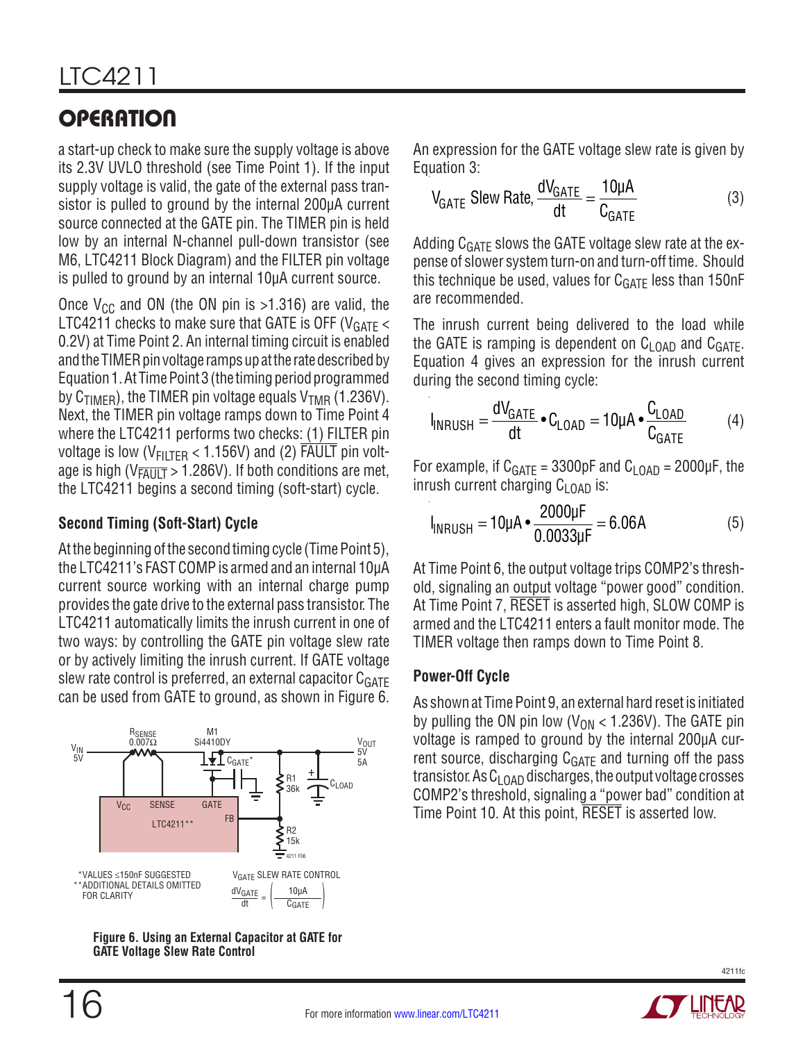a start-up check to make sure the supply voltage is above its 2.3V UVLO threshold (see Time Point 1). If the input supply voltage is valid, the gate of the external pass transistor is pulled to ground by the internal 200µA current source connected at the GATE pin. The TIMER pin is held low by an internal N-channel pull-down transistor (see M6, LTC4211 Block Diagram) and the FILTER pin voltage is pulled to ground by an internal 10µA current source.

Once  $V_{CC}$  and ON (the ON pin is >1.316) are valid, the LTC4211 checks to make sure that GATE is OFF ( $V<sub>GATF</sub>$ 0.2V) at Time Point 2. An internal timing circuit is enabled and the TIMER pin voltage ramps up at the rate described by Equation 1. At Time Point 3 (the timing period programmed by  $C_{\text{TIMFR}}$ ), the TIMER pin voltage equals  $V_{\text{TMR}}$  (1.236V). Next, the TIMER pin voltage ramps down to Time Point 4 where the LTC4211 performs two checks: (1) FILTER pin voltage is low ( $V_{\text{FIITFR}}$  < 1.156V) and (2) FAULT pin voltage is high ( $V_{\overline{F A U} \overline{I} T} > 1.286 V$ ). If both conditions are met, the LTC4211 begins a second timing (soft-start) cycle.

### **Second Timing (Soft-Start) Cycle**

At the beginning of the second timing cycle (Time Point 5), the LTC4211's FAST COMP is armed and an internal 10µA current source working with an internal charge pump provides the gate drive to the external pass transistor. The LTC4211 automatically limits the inrush current in one of two ways: by controlling the GATE pin voltage slew rate or by actively limiting the inrush current. If GATE voltage slew rate control is preferred, an external capacitor  $C_{GATE}$ can be used from GATE to ground, as shown in Figure 6.



**Figure 6. Using an External Capacitor at GATE for GATE Voltage Slew Rate Control** 

An expression for the GATE voltage slew rate is given by Equation 3:

$$
V_{GATE} \text{Slew Rate}, \frac{dV_{GATE}}{dt} = \frac{10\mu\text{A}}{C_{GATE}} \tag{3}
$$

Adding  $C_{GATE}$  slows the GATE voltage slew rate at the expense of slower system turn-on and turn-off time. Should this technique be used, values for  $C_{\text{GATE}}$  less than 150nF are recommended.

The inrush current being delivered to the load while the GATE is ramping is dependent on  $C_{L,\text{OAD}}$  and  $C_{GATE}$ . Equation 4 gives an expression for the inrush current during the second timing cycle:

$$
I_{INRUSH} = \frac{dV_{GATE}}{dt} \cdot C_{LOAD} = 10 \mu A \cdot \frac{C_{LOAD}}{C_{GATE}} \tag{4}
$$

For example, if  $C_{\text{GATE}} = 3300pF$  and  $C_{\text{LOAD}} = 2000pF$ , the inrush current charging  $C_{LOAD}$  is:

$$
I_{\text{INRUSH}} = 10 \mu A \cdot \frac{2000 \mu F}{0.0033 \mu F} = 6.06 A \tag{5}
$$

At Time Point 6, the output voltage trips COMP2's threshold, signaling an output voltage "power good" condition. At Time Point 7, RESET is asserted high, SLOW COMP is armed and the LTC4211 enters a fault monitor mode. The TIMER voltage then ramps down to Time Point 8.

#### **Power-Off Cycle**

As shown at Time Point 9, an external hard reset is initiated by pulling the ON pin low ( $V_{ON}$  < 1.236V). The GATE pin voltage is ramped to ground by the internal 200µA current source, discharging  $C_{GATE}$  and turning off the pass transistor. As  $C_{LOAD}$  discharges, the output voltage crosses COMP2's threshold, signaling a "power bad" condition at Time Point 10. At this point, RESET is asserted low.

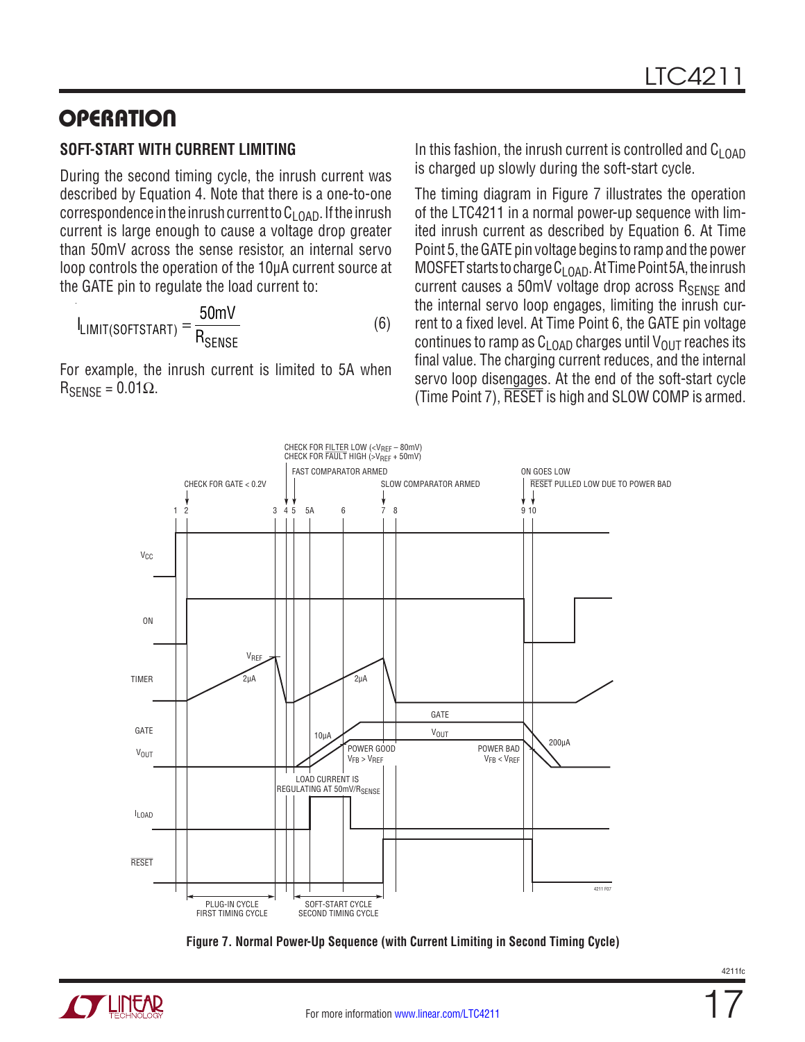#### **SOFT-START WITH CURRENT LIMITING**

During the second timing cycle, the inrush current was described by Equation 4. Note that there is a one-to-one correspondence in the inrush current to  $C_{L<sub>QAD</sub>}$ . If the inrush current is large enough to cause a voltage drop greater than 50mV across the sense resistor, an internal servo loop controls the operation of the 10µA current source at the GATE pin to regulate the load current to:

$$
I_{LIMIT(SOFISTART)} = \frac{50 \text{mV}}{R_{SENSE}} \tag{6}
$$

For example, the inrush current is limited to 5A when  $R_{\text{SFNSF}} = 0.01\Omega$ .

In this fashion, the inrush current is controlled and  $C_{LOD}$ is charged up slowly during the soft-start cycle.

The timing diagram in Figure 7 illustrates the operation of the LTC4211 in a normal power-up sequence with limited inrush current as described by Equation 6. At Time Point 5, the GATE pin voltage begins to ramp and the power MOSFET starts to charge  $C_{LOAD}$ . At Time Point 5A, the inrush current causes a 50mV voltage drop across R<sub>SENSE</sub> and the internal servo loop engages, limiting the inrush current to a fixed level. At Time Point 6, the GATE pin voltage continues to ramp as  $C_{L<sub>0</sub>AD}$  charges until  $V<sub>OUT</sub>$  reaches its final value. The charging current reduces, and the internal servo loop disengages. At the end of the soft-start cycle (Time Point 7), RESET is high and SLOW COMP is armed.



**Figure 7. Normal Power-Up Sequence (with Current Limiting in Second Timing Cycle)**



17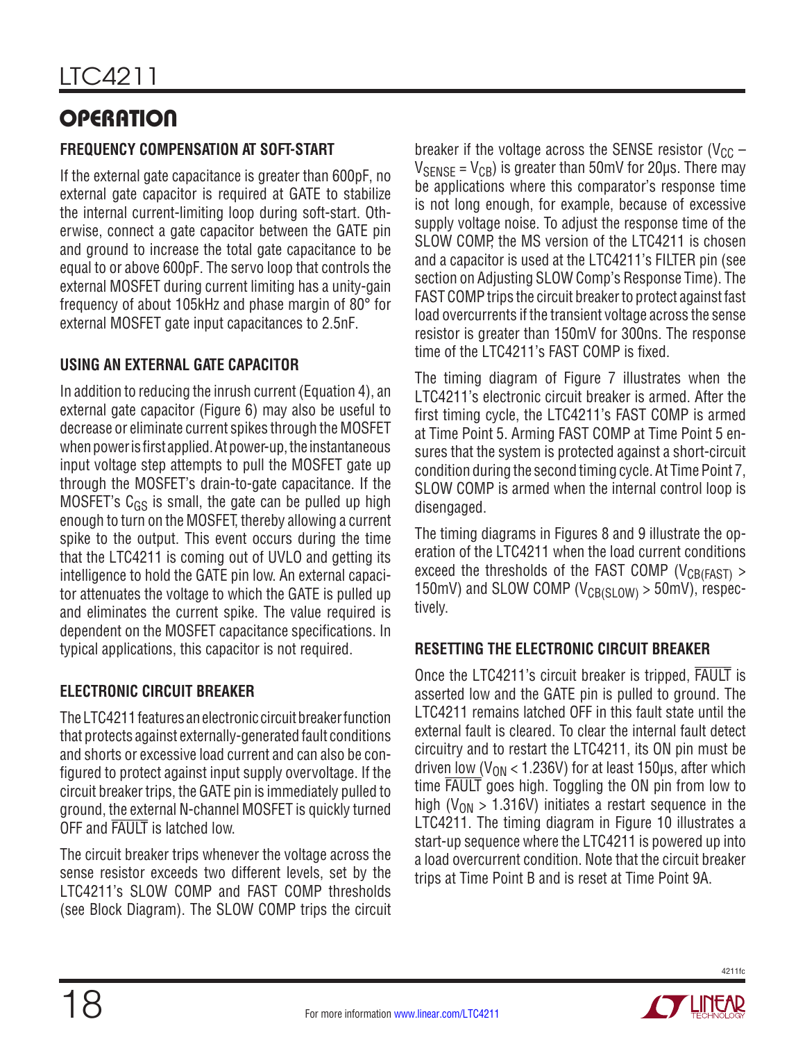### **FREQUENCY COMPENSATION AT SOFT-START**

If the external gate capacitance is greater than 600pF, no external gate capacitor is required at GATE to stabilize the internal current-limiting loop during soft-start. Otherwise, connect a gate capacitor between the GATE pin and ground to increase the total gate capacitance to be equal to or above 600pF. The servo loop that controls the external MOSFET during current limiting has a unity-gain frequency of about 105kHz and phase margin of 80° for external MOSFET gate input capacitances to 2.5nF.

### **USING AN EXTERNAL GATE CAPACITOR**

In addition to reducing the inrush current (Equation 4), an external gate capacitor (Figure 6) may also be useful to decrease or eliminate current spikes through the MOSFET when power is first applied. At power-up, the instantaneous input voltage step attempts to pull the MOSFET gate up through the MOSFET's drain-to-gate capacitance. If the MOSFET's  $C_{GS}$  is small, the gate can be pulled up high enough to turn on the MOSFET, thereby allowing a current spike to the output. This event occurs during the time that the LTC4211 is coming out of UVLO and getting its intelligence to hold the GATE pin low. An external capacitor attenuates the voltage to which the GATE is pulled up and eliminates the current spike. The value required is dependent on the MOSFET capacitance specifications. In typical applications, this capacitor is not required.

### **ELECTRONIC CIRCUIT BREAKER**

The LTC4211 features an electronic circuit breaker function that protects against externally-generated fault conditions and shorts or excessive load current and can also be configured to protect against input supply overvoltage. If the circuit breaker trips, the GATE pin is immediately pulled to ground, the external N-channel MOSFET is quickly turned OFF and FAULT is latched low.

The circuit breaker trips whenever the voltage across the sense resistor exceeds two different levels, set by the LTC4211's SLOW COMP and FAST COMP thresholds (see Block Diagram). The SLOW COMP trips the circuit

breaker if the voltage across the SENSE resistor ( $V_{CC}$  –  $V_{\text{SENSE}} = V_{\text{CB}}$ ) is greater than 50mV for 20us. There may be applications where this comparator's response time is not long enough, for example, because of excessive supply voltage noise. To adjust the response time of the SLOW COMP, the MS version of the LTC4211 is chosen and a capacitor is used at the LTC4211's FILTER pin (see section on Adjusting SLOW Comp's Response Time). The FAST COMP trips the circuit breaker to protect against fast load overcurrents if the transient voltage across the sense resistor is greater than 150mV for 300ns. The response time of the LTC4211's FAST COMP is fixed.

The timing diagram of Figure 7 illustrates when the LTC4211's electronic circuit breaker is armed. After the first timing cycle, the LTC4211's FAST COMP is armed at Time Point 5. Arming FAST COMP at Time Point 5 ensures that the system is protected against a short-circuit condition during the second timing cycle. At Time Point 7, SLOW COMP is armed when the internal control loop is disengaged.

The timing diagrams in Figures 8 and 9 illustrate the operation of the LTC4211 when the load current conditions exceed the thresholds of the FAST COMP ( $V_{CB(FAST)}$ ) 150mV) and SLOW COMP ( $V_{CB(SLOW)} > 50$ mV), respectively.

### **RESETTING THE ELECTRONIC CIRCUIT BREAKER**

Once the LTC4211's circuit breaker is tripped, FAULT is asserted low and the GATE pin is pulled to ground. The LTC4211 remains latched OFF in this fault state until the external fault is cleared. To clear the internal fault detect circuitry and to restart the LTC4211, its ON pin must be driven low ( $V_{ON}$  < 1.236V) for at least 150 $\mu$ s, after which time FAULT goes high. Toggling the ON pin from low to high ( $V_{ON} > 1.316V$ ) initiates a restart sequence in the LTC4211. The timing diagram in Figure 10 illustrates a start-up sequence where the LTC4211 is powered up into a load overcurrent condition. Note that the circuit breaker trips at Time Point B and is reset at Time Point 9A.

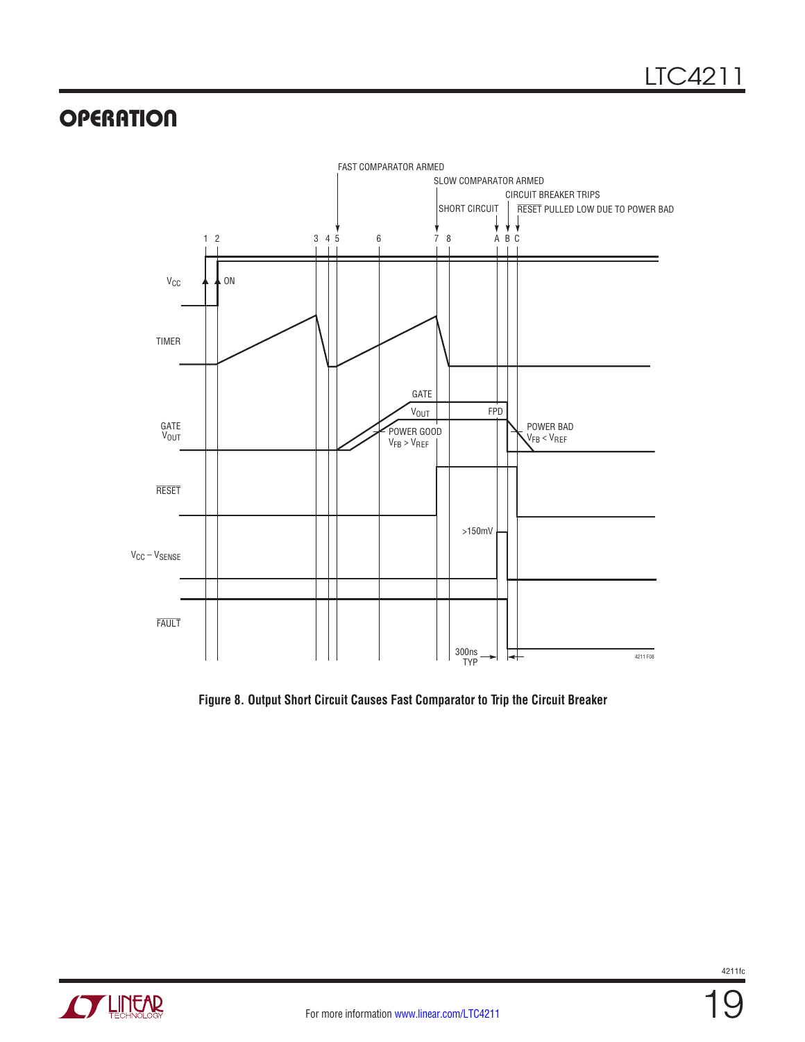

**Figure 8. Output Short Circuit Causes Fast Comparator to Trip the Circuit Breaker**

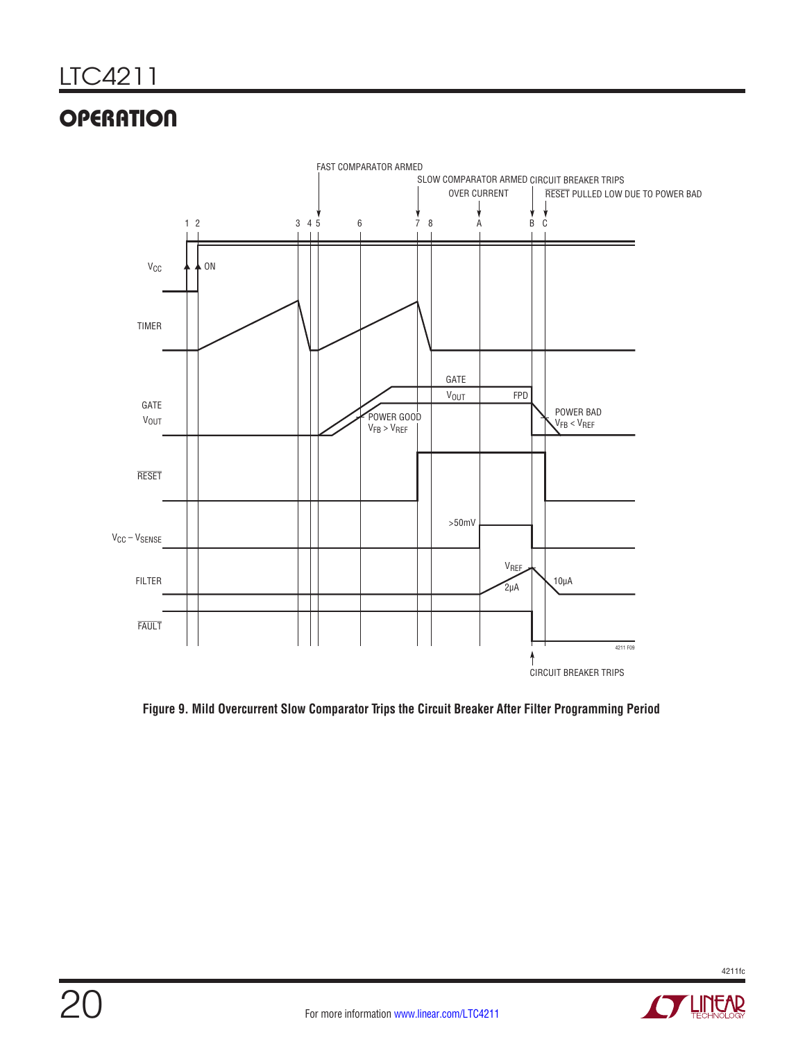

**Figure 9. Mild Overcurrent Slow Comparator Trips the Circuit Breaker After Filter Programming Period**

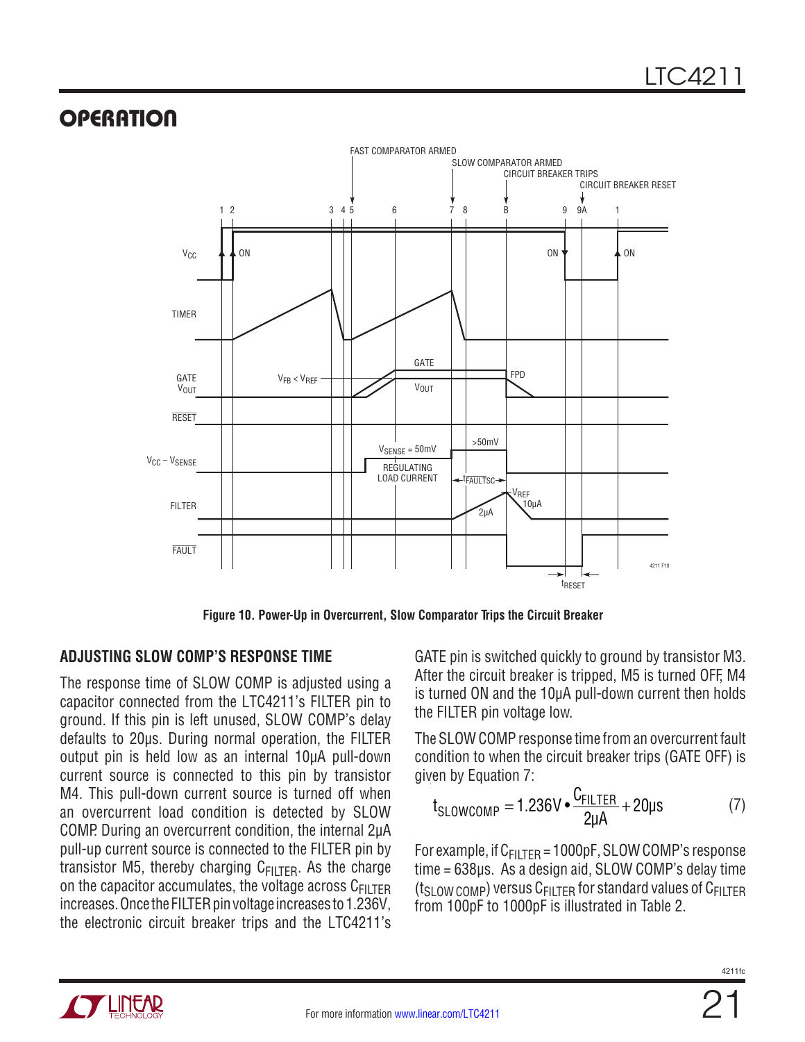

**Figure 10. Power-Up in Overcurrent, Slow Comparator Trips the Circuit Breaker**

### **ADJUSTING SLOW COMP'S RESPONSE TIME**

The response time of SLOW COMP is adjusted using a capacitor connected from the LTC4211's FILTER pin to ground. If this pin is left unused, SLOW COMP's delay defaults to 20µs. During normal operation, the FILTER output pin is held low as an internal 10µA pull-down current source is connected to this pin by transistor M4. This pull-down current source is turned off when an overcurrent load condition is detected by SLOW COMP. During an overcurrent condition, the internal 2µA pull-up current source is connected to the FILTER pin by transistor M5, thereby charging  $C_{\text{FIITFR}}$ . As the charge on the capacitor accumulates, the voltage across  $C_{\text{FILTER}}$ increases. Once the FILTER pin voltage increases to 1.236V, the electronic circuit breaker trips and the LTC4211's

GATE pin is switched quickly to ground by transistor M3. After the circuit breaker is tripped, M5 is turned OFF, M4 is turned ON and the 10µA pull-down current then holds the FILTER pin voltage low.

The SLOW COMP response time from an overcurrent fault condition to when the circuit breaker trips (GATE OFF) is given by Equation 7:

$$
t_{\text{SLOWCOMP}} = 1.236 \text{V} \cdot \frac{C_{\text{FILTER}}}{2\mu\text{A}} + 20\mu\text{s} \tag{7}
$$

For example, if  $C_{FILTER}$  = 1000pF, SLOW COMP's response time = 638µs. As a design aid, SLOW COMP's delay time ( $t<sub>SI</sub>$  ow comp) versus C<sub>FILTER</sub> for standard values of C<sub>FILTER</sub> from 100pF to 1000pF is illustrated in Table 2.

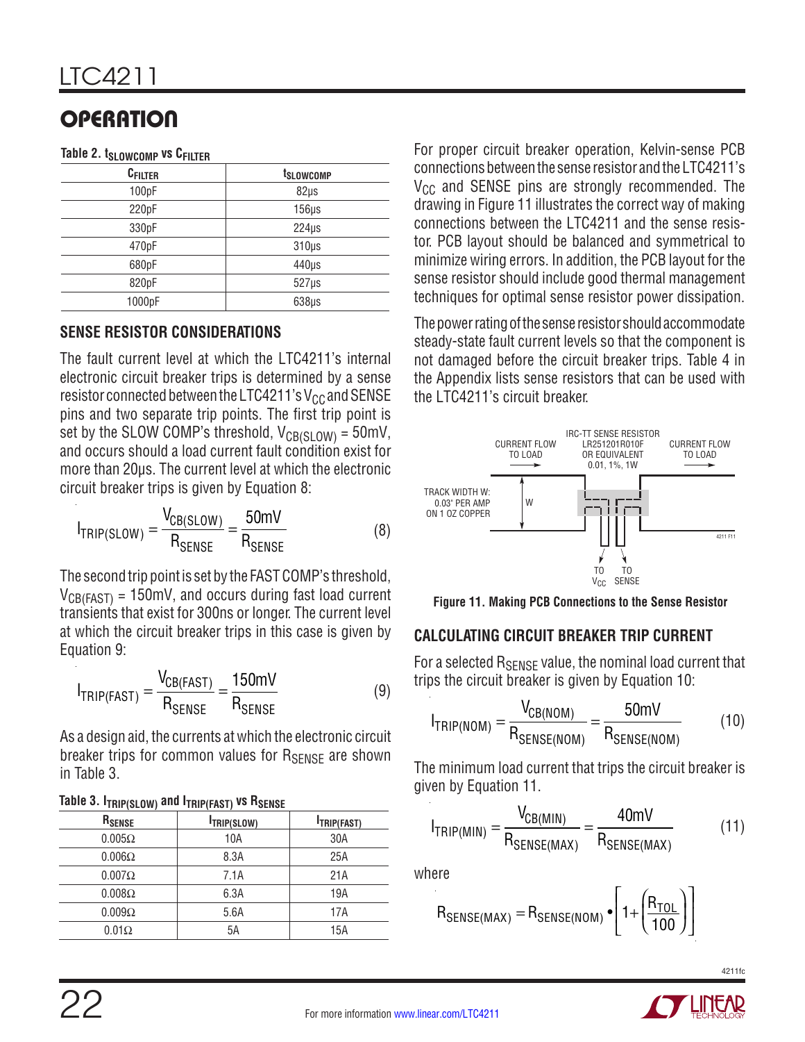|  | Table 2. t <sub>SLOWCOMP</sub> vs CFILTER |  |  |
|--|-------------------------------------------|--|--|
|--|-------------------------------------------|--|--|

| <b>CFILTER</b> | t <sub>slowcomp</sub> |
|----------------|-----------------------|
| 100pF          | $82\mu s$             |
| 220pF          | $156\mu s$            |
| 330pF          | $224\mu s$            |
| 470pF          | $310\mu s$            |
| 680pF          | $440\mu s$            |
| 820pF          | $527\mu s$            |
| 1000pF         | $638\mu s$            |

#### **SENSE RESISTOR CONSIDERATIONS**

The fault current level at which the LTC4211's internal electronic circuit breaker trips is determined by a sense resistor connected between the LTC4211's  $V_{CC}$  and SENSE pins and two separate trip points. The first trip point is set by the SLOW COMP's threshold,  $V_{CR(S10W)} = 50$ mV, and occurs should a load current fault condition exist for more than 20µs. The current level at which the electronic circuit breaker trips is given by Equation 8:

$$
I_{TRIP(SLOW)} = \frac{V_{CB(SLOW)}}{R_{SENSE}} = \frac{50 \text{mV}}{R_{SENSE}}
$$
 (8)

The second trip point is set by the FAST COMP's threshold,  $V_{CB(FAST)} = 150$  mV, and occurs during fast load current transients that exist for 300ns or longer. The current level at which the circuit breaker trips in this case is given by Equation 9:

$$
I_{TRIP(FAST)} = \frac{V_{CB(FAST)}}{R_{SENSE}} = \frac{150mV}{R_{SENSE}}
$$
(9)

As a design aid, the currents at which the electronic circuit breaker trips for common values for  $R_{\text{SFNSF}}$  are shown in Table 3.

| R <sub>SENSE</sub> | <b>ITRIP(SLOW)</b> | <b>ITRIP(FAST)</b> |  |  |
|--------------------|--------------------|--------------------|--|--|
| $0.005\Omega$      | 10A                | 30A                |  |  |
| $0.006\Omega$      | 8.3A               | 25A                |  |  |
| $0.007\Omega$      | 7.1A               | 21A                |  |  |
| $0.008\Omega$      | 6.3A               | 19A                |  |  |
| $0.009\Omega$      | 5.6A               | 17A                |  |  |
| $0.01\Omega$       | 5A                 | 15A                |  |  |

#### **Table 3. ITPIP(SLOW) and ITPIP(FAST) VS RSENSE**

22

For proper circuit breaker operation, Kelvin-sense PCB connections between the sense resistor and the LTC4211's  $V_{CC}$  and SENSE pins are strongly recommended. The drawing in Figure 11 illustrates the correct way of making connections between the LTC4211 and the sense resistor. PCB layout should be balanced and symmetrical to minimize wiring errors. In addition, the PCB layout for the sense resistor should include good thermal management techniques for optimal sense resistor power dissipation.

The power rating of the sense resistor should accommodate steady-state fault current levels so that the component is not damaged before the circuit breaker trips. Table 4 in the Appendix lists sense resistors that can be used with the LTC4211's circuit breaker.



**Figure 11. Making PCB Connections to the Sense Resistor**

#### **CALCULATING CIRCUIT BREAKER TRIP CURRENT**

For a selected  $R_{\text{SENSE}}$  value, the nominal load current that trips the circuit breaker is given by Equation 10:

$$
I_{TRIP(NOM)} = \frac{V_{CB(NOM)}}{R_{SENSE(NOM)}} = \frac{50mV}{R_{SENSE(NOM)}}
$$
(10)

The minimum load current that trips the circuit breaker is given by Equation 11.

$$
I_{TRIP(MIN)} = \frac{V_{CB(MIN)}}{R_{SENSE(MAX)}} = \frac{40mV}{R_{SENSE(MAX)}}
$$
(11)

where

$$
R_{SENSE(MAX)} = R_{SENSE(NOM)} \cdot \left[1 + \left(\frac{R_{TOL}}{100}\right)\right]
$$

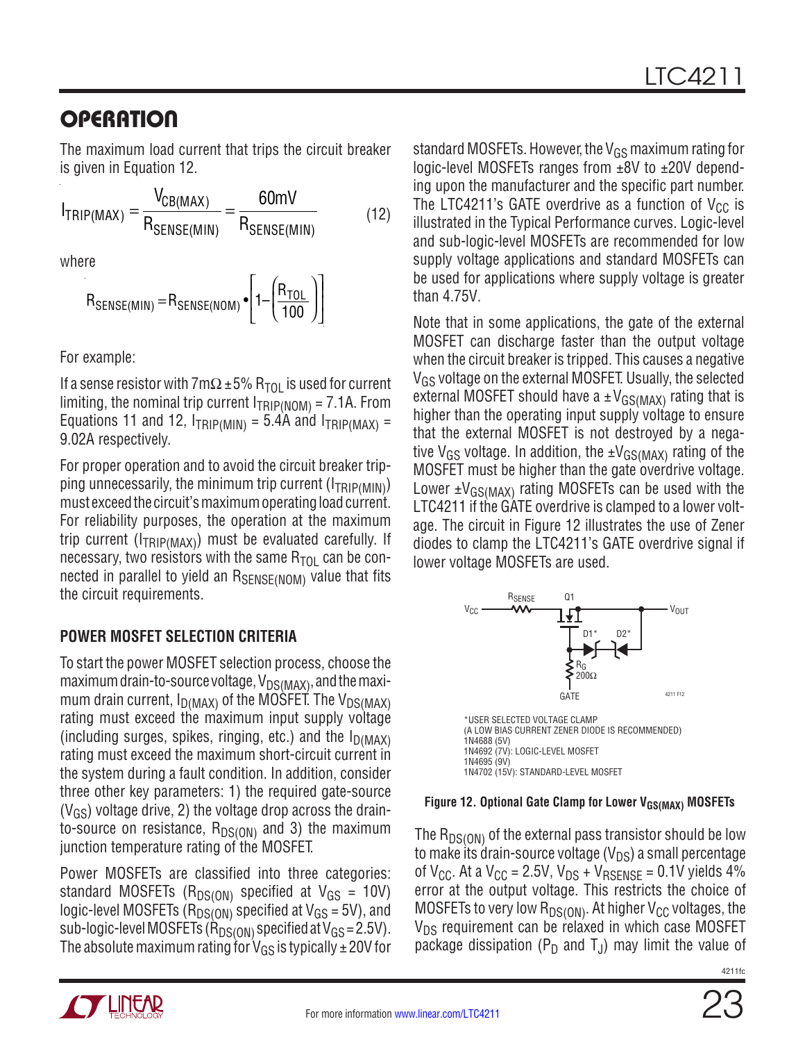The maximum load current that trips the circuit breaker is given in Equation 12.

$$
I_{TRIP(MAX)} = \frac{V_{CB(MAX)}}{R_{SENSE(MIN)}} = \frac{60mV}{R_{SENSE(MIN)}}
$$
(12)

where

$$
R_{\text{SENSE}(\text{MIN})} = R_{\text{SENSE}(\text{NOM})} \cdot \left[ 1 - \left( \frac{R_{\text{TOL}}}{100} \right) \right]
$$

For example:

If a sense resistor with 7m $\Omega$  ±5% R<sub>TOL</sub> is used for current limiting, the nominal trip current  $I_{TRIP(NOM)} = 7.1$ A. From Equations 11 and 12,  $I_{TRIP(MIN)} = 5.4$ A and  $I_{TRIP(MAX)} =$ 9.02A respectively.

For proper operation and to avoid the circuit breaker tripping unnecessarily, the minimum trip current  $(I_{TRIP(MIN)})$ must exceed the circuit's maximum operating load current. For reliability purposes, the operation at the maximum trip current ( $I_{TRIP(MAX)}$ ) must be evaluated carefully. If necessary, two resistors with the same  $R_{TOI}$  can be connected in parallel to yield an RSENSE(NOM) value that fits the circuit requirements.

### **POWER MOSFET SELECTION CRITERIA**

To start the power MOSFET selection process, choose the maximum drain-to-source voltage,  $V_{DS(MAX)}$ , and the maximum drain current,  $I_{D(MAX)}$  of the MOSFET. The V<sub>DS(MAX)</sub> rating must exceed the maximum input supply voltage (including surges, spikes, ringing, etc.) and the  $I_{D(MAX)}$ rating must exceed the maximum short-circuit current in the system during a fault condition. In addition, consider three other key parameters: 1) the required gate-source  $(V_{GS})$  voltage drive, 2) the voltage drop across the drainto-source on resistance,  $R_{DS(ON)}$  and 3) the maximum junction temperature rating of the MOSFET.

Power MOSFETs are classified into three categories: standard MOSFETs ( $R_{DS(ON)}$  specified at  $V_{GS} = 10V$ ) logic-level MOSFETs ( $R_{DS(ON)}$  specified at  $V_{GS}$  = 5V), and sub-logic-level MOSFETs ( $\hat{R}_{DS(ON)}$  specified at  $V_{GS} = 2.5V$ ). The absolute maximum rating for  $V_{GS}$  is typically  $\pm$  20V for standard MOSFETs. However, the  $V_{GS}$  maximum rating for logic-level MOSFETs ranges from ±8V to ±20V depending upon the manufacturer and the specific part number. The LTC4211's GATE overdrive as a function of  $V_{CC}$  is illustrated in the Typical Performance curves. Logic-level and sub-logic-level MOSFETs are recommended for low supply voltage applications and standard MOSFETs can be used for applications where supply voltage is greater than 4.75V.

Note that in some applications, the gate of the external MOSFET can discharge faster than the output voltage when the circuit breaker is tripped. This causes a negative VGS voltage on the external MOSFET. Usually, the selected external MOSFET should have a  $\pm V_{GS(MAX)}$  rating that is higher than the operating input supply voltage to ensure that the external MOSFET is not destroyed by a negative V<sub>GS</sub> voltage. In addition, the  $\pm V_{GS(MAX)}$  rating of the MOSFET must be higher than the gate overdrive voltage. Lower  $\pm V_{GS(MAX)}$  rating MOSFETs can be used with the LTC4211 if the GATE overdrive is clamped to a lower voltage. The circuit in Figure 12 illustrates the use of Zener diodes to clamp the LTC4211's GATE overdrive signal if lower voltage MOSFETs are used.



#### Figure 12. Optional Gate Clamp for Lower V<sub>GS(MAX)</sub> MOSFETs

The  $R_{DS(ON)}$  of the external pass transistor should be low to make its drain-source voltage  $(V_{DS})$  a small percentage of  $V_{CC}$ . At a  $V_{CC}$  = 2.5V,  $V_{DS}$  +  $V_{RSENSE}$  = 0.1V yields 4% error at the output voltage. This restricts the choice of MOSFETs to very low  $R_{DS(ON)}$ . At higher  $V_{CC}$  voltages, the  $V_{DS}$  requirement can be relaxed in which case MOSFET package dissipation ( $P_D$  and  $T_J$ ) may limit the value of

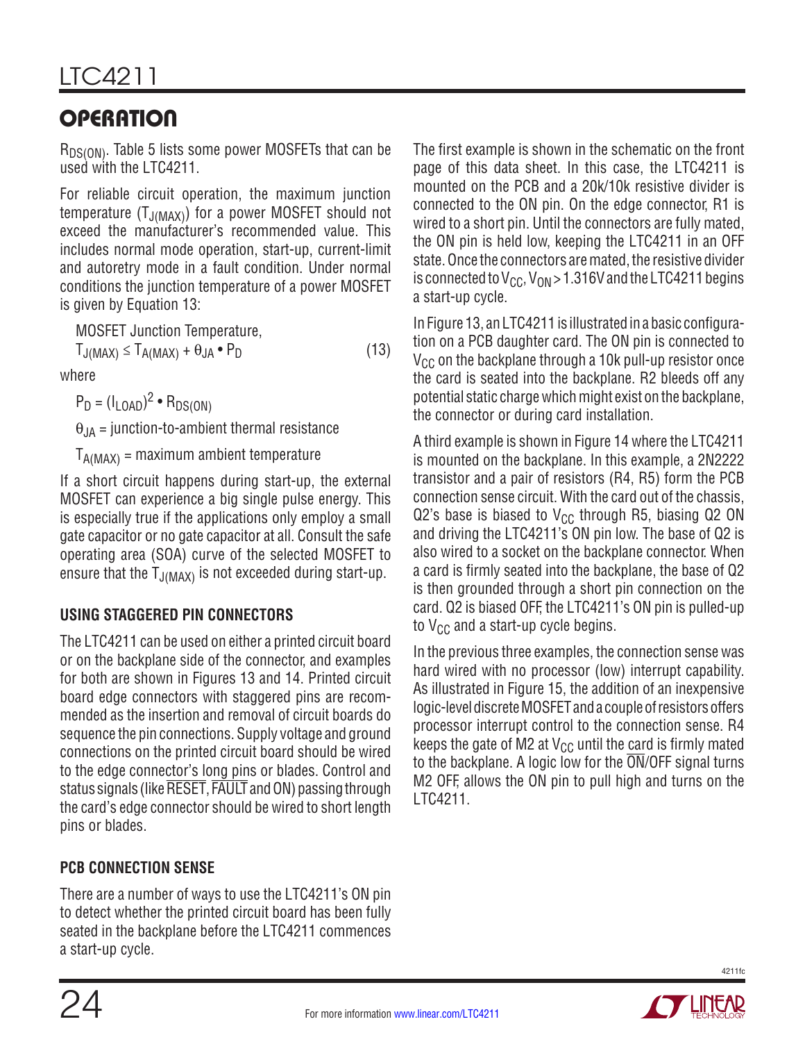$R_{DS(ON)}$ . Table 5 lists some power MOSFETs that can be used with the LTC4211.

For reliable circuit operation, the maximum junction temperature  $(T_{J(MAX)})$  for a power MOSFET should not exceed the manufacturer's recommended value. This includes normal mode operation, start-up, current-limit and autoretry mode in a fault condition. Under normal conditions the junction temperature of a power MOSFET is given by Equation 13:

MOSFET Junction Temperature,

 $T_{J(MAX)} \leq T_{A(MAX)} + \theta_{JA} \cdot P_D$  (13)

where

 $P_D = (I_{LOAD})^2 \cdot R_{DS(ON)}$ 

 $\theta_{\text{JA}}$  = junction-to-ambient thermal resistance

 $T_{A(MAX)}$  = maximum ambient temperature

If a short circuit happens during start-up, the external MOSFET can experience a big single pulse energy. This is especially true if the applications only employ a small gate capacitor or no gate capacitor at all. Consult the safe operating area (SOA) curve of the selected MOSFET to ensure that the  $T_{J(MAX)}$  is not exceeded during start-up.

### **USING STAGGERED PIN CONNECTORS**

The LTC4211 can be used on either a printed circuit board or on the backplane side of the connector, and examples for both are shown in Figures 13 and 14. Printed circuit board edge connectors with staggered pins are recommended as the insertion and removal of circuit boards do sequence the pin connections. Supply voltage and ground connections on the printed circuit board should be wired to the edge connector's long pins or blades. Control and status signals (like RESET, FAULT and ON) passing through the card's edge connector should be wired to short length pins or blades.

### **PCB CONNECTION SENSE**

There are a number of ways to use the LTC4211's ON pin to detect whether the printed circuit board has been fully seated in the backplane before the LTC4211 commences a start-up cycle.

The first example is shown in the schematic on the front page of this data sheet. In this case, the LTC4211 is mounted on the PCB and a 20k/10k resistive divider is connected to the ON pin. On the edge connector, R1 is wired to a short pin. Until the connectors are fully mated, the ON pin is held low, keeping the LTC4211 in an OFF state. Once the connectors are mated, the resistive divider is connected to  $V_{CC}$ ,  $V_{ON}$  > 1.316V and the LTC4211 begins a start-up cycle.

In Figure 13, an LTC4211 is illustrated in a basic configuration on a PCB daughter card. The ON pin is connected to  $V_{CC}$  on the backplane through a 10k pull-up resistor once the card is seated into the backplane. R2 bleeds off any potential static charge which might exist on the backplane, the connector or during card installation.

A third example is shown in Figure 14 where the LTC4211 is mounted on the backplane. In this example, a 2N2222 transistor and a pair of resistors (R4, R5) form the PCB connection sense circuit. With the card out of the chassis, Q2's base is biased to  $V_{CC}$  through R5, biasing Q2 ON and driving the LTC4211's ON pin low. The base of Q2 is also wired to a socket on the backplane connector. When a card is firmly seated into the backplane, the base of Q2 is then grounded through a short pin connection on the card. Q2 is biased OFF, the LTC4211's ON pin is pulled-up to  $V_{CC}$  and a start-up cycle begins.

In the previous three examples, the connection sense was hard wired with no processor (low) interrupt capability. As illustrated in Figure 15, the addition of an inexpensive logic-level discrete MOSFET and a couple of resistors offers processor interrupt control to the connection sense. R4 keeps the gate of M2 at  $V_{CC}$  until the card is firmly mated to the backplane. A logic low for the  $\overline{ON}/\overline{OFF}$  signal turns M2 OFF, allows the ON pin to pull high and turns on the LTC4211.

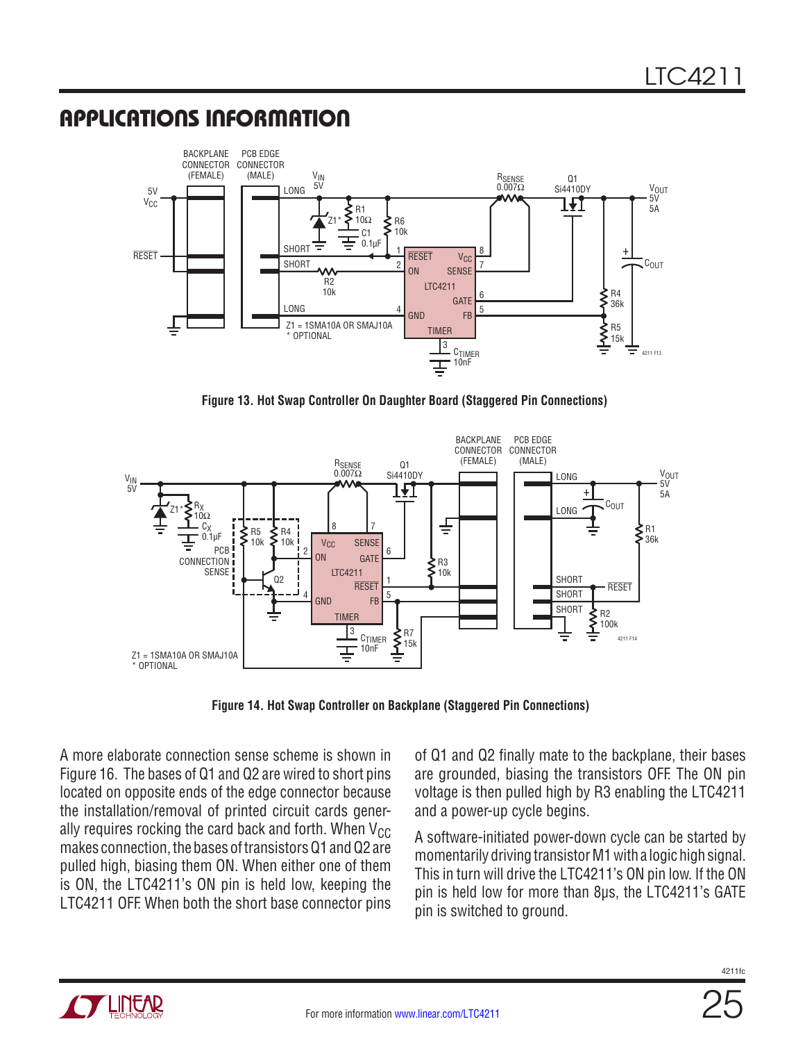

**Figure 13. Hot Swap Controller On Daughter Board (Staggered Pin Connections)**



**Figure 14. Hot Swap Controller on Backplane (Staggered Pin Connections)**

A more elaborate connection sense scheme is shown in Figure 16. The bases of Q1 and Q2 are wired to short pins located on opposite ends of the edge connector because the installation/removal of printed circuit cards generally requires rocking the card back and forth. When  $V_{CC}$ makes connection, the bases of transistors Q1 and Q2 are pulled high, biasing them ON. When either one of them is ON, the LTC4211's ON pin is held low, keeping the LTC4211 OFF. When both the short base connector pins

of Q1 and Q2 finally mate to the backplane, their bases are grounded, biasing the transistors OFF. The ON pin voltage is then pulled high by R3 enabling the LTC4211 and a power-up cycle begins.

A software-initiated power-down cycle can be started by momentarily driving transistor M1 with a logic high signal. This in turn will drive the LTC4211's ON pin low. If the ON pin is held low for more than 8µs, the LTC4211's GATE pin is switched to ground.

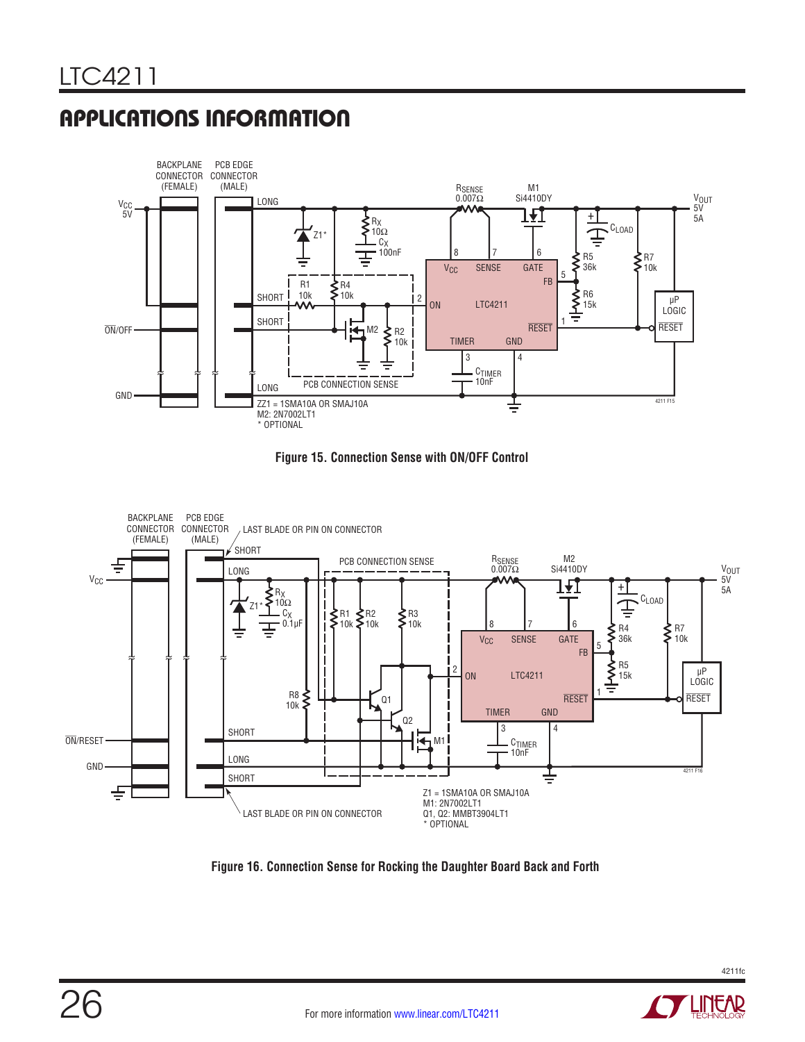





**Figure 16. Connection Sense for Rocking the Daughter Board Back and Forth**



LINEAR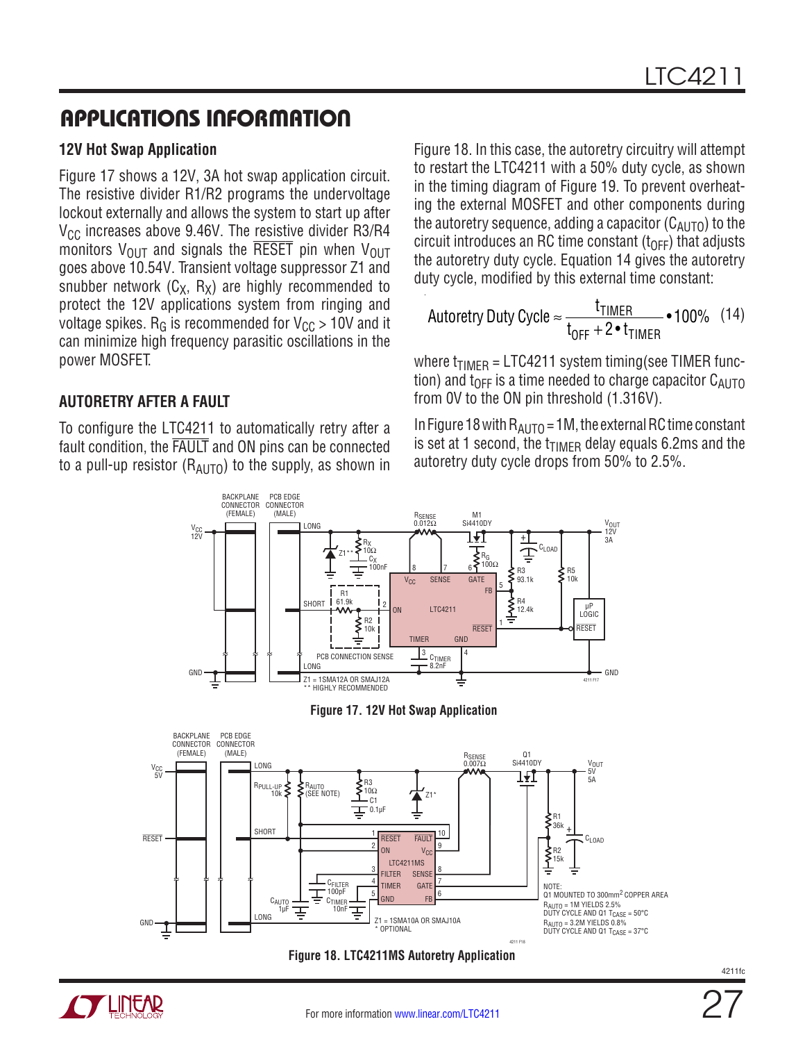#### **12V Hot Swap Application**

Figure 17 shows a 12V, 3A hot swap application circuit. The resistive divider R1/R2 programs the undervoltage lockout externally and allows the system to start up after  $V_{\text{CC}}$  increases above 9.46V. The resistive divider R3/R4 monitors  $V_{\text{OUT}}$  and signals the RESET pin when  $V_{\text{OUT}}$ goes above 10.54V. Transient voltage suppressor Z1 and snubber network  $(C_X, R_X)$  are highly recommended to protect the 12V applications system from ringing and voltage spikes.  $R_G$  is recommended for  $V_{CC}$  > 10V and it can minimize high frequency parasitic oscillations in the power MOSFET.

#### **AUTORETRY AFTER A FAULT**

To configure the LTC4211 to automatically retry after a fault condition, the FAULT and ON pins can be connected to a pull-up resistor  $(R_{\text{Al}})$  to the supply, as shown in Figure 18. In this case, the autoretry circuitry will attempt to restart the LTC4211 with a 50% duty cycle, as shown in the timing diagram of Figure 19. To prevent overheating the external MOSFET and other components during the autoretry sequence, adding a capacitor  $(C_{AUTO})$  to the circuit introduces an RC time constant  $(t<sub>OFF</sub>)$  that adjusts the autoretry duty cycle. Equation 14 gives the autoretry duty cycle, modified by this external time constant:

$$
\text{Autoretry Duty Cycle} \approx \frac{t_{\text{TIMER}}}{t_{\text{OFF}} + 2 \cdot t_{\text{TIMER}}} \cdot 100\% \quad (14)
$$

where  $t_{TIMER} = LTC4211$  system timing(see TIMER function) and t<sub>OFF</sub> is a time needed to charge capacitor  $C_{AUTO}$ from 0V to the ON pin threshold (1.316V).

In Figure 18 with  $R_{AlITO} = 1M$ , the external RC time constant is set at 1 second, the  $t_{\text{TIMER}}$  delay equals 6.2ms and the autoretry duty cycle drops from 50% to 2.5%.





27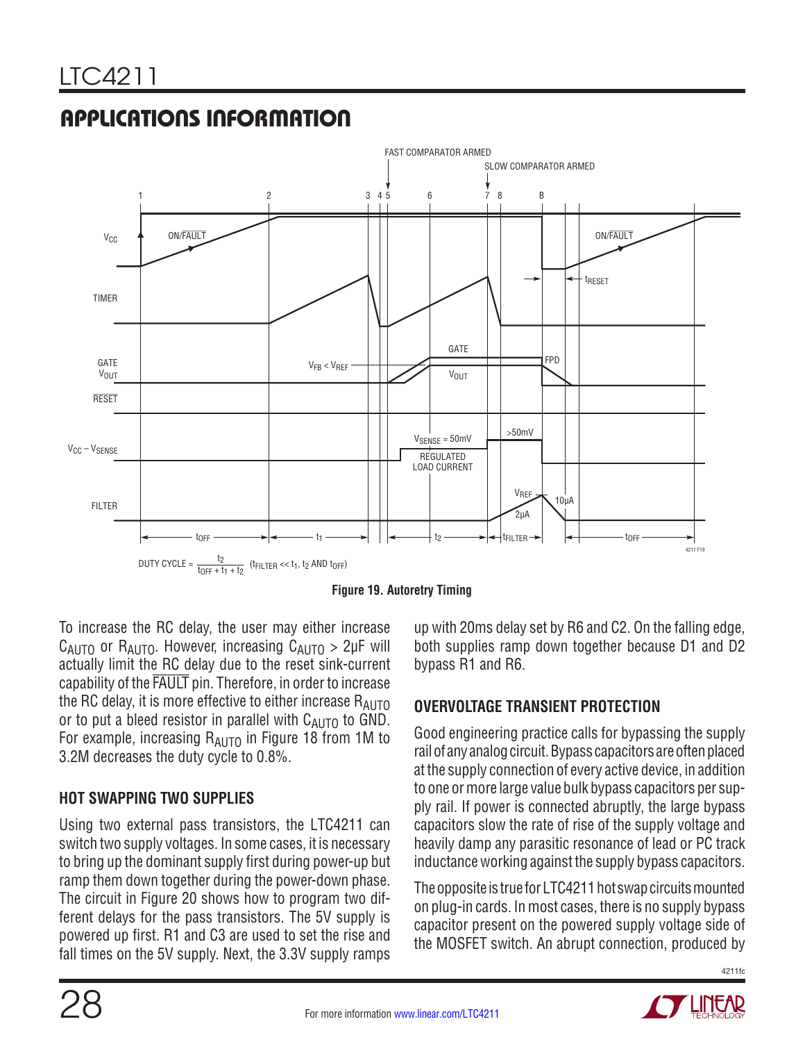



**Figure 19. Autoretry Timing**

To increase the RC delay, the user may either increase  $C_{AUTO}$  or  $R_{AUTO}$ . However, increasing  $C_{AUTO} > 2\mu F$  will actually limit the RC delay due to the reset sink-current capability of the FAULT pin. Therefore, in order to increase the RC delay, it is more effective to either increase  $R_{AUTO}$ or to put a bleed resistor in parallel with  $C_{\text{AUTO}}$  to GND. For example, increasing  $R_{AUTO}$  in Figure 18 from 1M to 3.2M decreases the duty cycle to 0.8%.

#### **HOT SWAPPING TWO SUPPLIES**

Using two external pass transistors, the LTC4211 can switch two supply voltages. In some cases, it is necessary to bring up the dominant supply first during power-up but ramp them down together during the power-down phase. The circuit in Figure 20 shows how to program two different delays for the pass transistors. The 5V supply is powered up first. R1 and C3 are used to set the rise and fall times on the 5V supply. Next, the 3.3V supply ramps

up with 20ms delay set by R6 and C2. On the falling edge, both supplies ramp down together because D1 and D2 bypass R1 and R6.

#### **OVERVOLTAGE TRANSIENT PROTECTION**

Good engineering practice calls for bypassing the supply rail of any analog circuit. Bypass capacitors are often placed at the supply connection of every active device, in addition to one or more large value bulk bypass capacitors per supply rail. If power is connected abruptly, the large bypass capacitors slow the rate of rise of the supply voltage and heavily damp any parasitic resonance of lead or PC track inductance working against the supply bypass capacitors.

The opposite is true for LTC4211 hot swap circuits mounted on plug-in cards. In most cases, there is no supply bypass capacitor present on the powered supply voltage side of the MOSFET switch. An abrupt connection, produced by



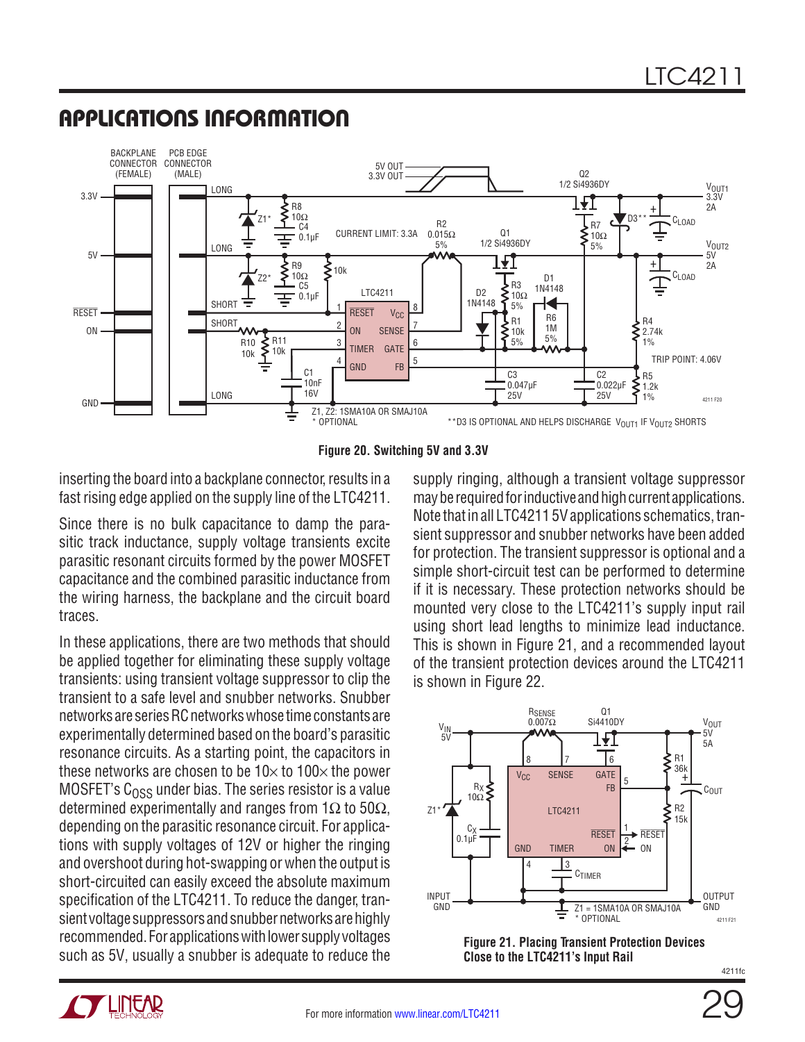#### BACKPLANE PCB EDGE CONNECTOR CONNECTOR 5V OUT (FEMALE) (MALE) Q2 3.3V OUT 1/2 Si4936DY V<sub>OUT1</sub>  $3.3V$   $\longrightarrow$   $\boxed{\longrightarrow}$   $\boxed{\longrightarrow}$   $\boxed{\longrightarrow}$   $\boxed{\longrightarrow}$   $\boxed{\longrightarrow}$   $\boxed{\longrightarrow}$   $\boxed{\longrightarrow}$   $\boxed{\longrightarrow}$   $\boxed{\longrightarrow}$   $\boxed{\longrightarrow}$   $\boxed{\longrightarrow}$   $\boxed{\longrightarrow}$   $\boxed{\longrightarrow}$   $\boxed{\longrightarrow}$   $\boxed{\longrightarrow}$   $\boxed{\longrightarrow}$   $\boxed{\longrightarrow}$   $\boxed{\longrightarrow}$   $\boxed{\longrightarrow}$   $\boxed{\longrightarrow}$   $\boxed{\longrightarrow}$   $\boxed{\longrightarrow}$   $\boxed{\longrightarrow}$   $\boxed{\longrightarrow}$   $\boxed{\longrightarrow}$   $\boxed{\longrightarrow}$  3.3V 171 2A R8 +  $DS^*$  C<sub>LOAD</sub> Z1\* 10Ω R2  $-c4$ R7 Q1 CURRENT LIMIT: 3.3A 0.015Ω 0.1µF 10Ω 1/2 Si4936DY V<sub>OUT2</sub> LONG 5% 5%  $5V$ 5V R9  $\xi_{\text{10k}}$   $\left\{\text{mm}\right\}$   $\frac{1}{2}$   $\frac{1}{2}$   $\frac{1}{2}$   $\frac{1}{2}$   $\frac{1}{2}$   $\frac{1}{2}$   $\frac{1}{2}$   $\frac{1}{2}$   $\frac{1}{2}$   $\frac{1}{2}$   $\frac{1}{2}$   $\frac{1}{2}$   $\frac{1}{2}$   $\frac{1}{2}$   $\frac{1}{2}$   $\frac{1}{2}$   $\frac{1}{2}$   $\frac{1}{2}$   $\frac{1}{2}$  2A \<br>\<br>10Ω<br>10Ω  $\boldsymbol{\zeta}_{10\mathsf{k}}$ Cı nan D1<br>1N4148 Z2\* R3 – C5 D<sub>2</sub>  $\leq$ <sup>n3</sup> 1N4148 LTC4211  $\equiv$  0.1µF **SHORT** 1N4148 5% 1 8 RESET RESET V<sub>CC</sub> R6 R1 **SHORT** 2 ≹ R4 7 1M ON ON SENSE ۱۸۸ 10k 2.74k R11 5% R10 くく 3 6 5% 1% TIMER **GATE** 10k 10k TRIP POINT: 4.06V 4 5 GND FB  $C<sub>1</sub>$ C3 C2 R5 10nF  $\sum_{1.2k}$ 0.047µF 0.022µF 16V LONG 25V 25V 1% 4211 F20 GND Z1, Z2: 1SMA10A OR SMAJ10A ≑ \*\*D3 IS OPTIONAL AND HELPS DISCHARGE V<sub>OUT1</sub> IF V<sub>OUT2</sub> SHORTS **OPTIONAL**

### APPLICATIONS INFORMATION



inserting the board into a backplane connector, results in a fast rising edge applied on the supply line of the LTC4211.

Since there is no bulk capacitance to damp the parasitic track inductance, supply voltage transients excite parasitic resonant circuits formed by the power MOSFET capacitance and the combined parasitic inductance from the wiring harness, the backplane and the circuit board traces.

In these applications, there are two methods that should be applied together for eliminating these supply voltage transients: using transient voltage suppressor to clip the transient to a safe level and snubber networks. Snubber networks are series RC networks whose time constants are experimentally determined based on the board's parasitic resonance circuits. As a starting point, the capacitors in these networks are chosen to be  $10\times$  to  $100\times$  the power MOSFET's  $C<sub>0.55</sub>$  under bias. The series resistor is a value determined experimentally and ranges from  $1\Omega$  to  $50\Omega$ , depending on the parasitic resonance circuit. For applications with supply voltages of 12V or higher the ringing and overshoot during hot-swapping or when the output is short-circuited can easily exceed the absolute maximum specification of the LTC4211. To reduce the danger, transient voltage suppressors and snubber networks are highly recommended. For applications with lower supply voltages such as 5V, usually a snubber is adequate to reduce the

supply ringing, although a transient voltage suppressor may be required for inductive and high current applications. Note that in all LTC4211 5V applications schematics, transient suppressor and snubber networks have been added for protection. The transient suppressor is optional and a simple short-circuit test can be performed to determine if it is necessary. These protection networks should be mounted very close to the LTC4211's supply input rail using short lead lengths to minimize lead inductance. This is shown in Figure 21, and a recommended layout of the transient protection devices around the LTC4211 is shown in Figure 22.







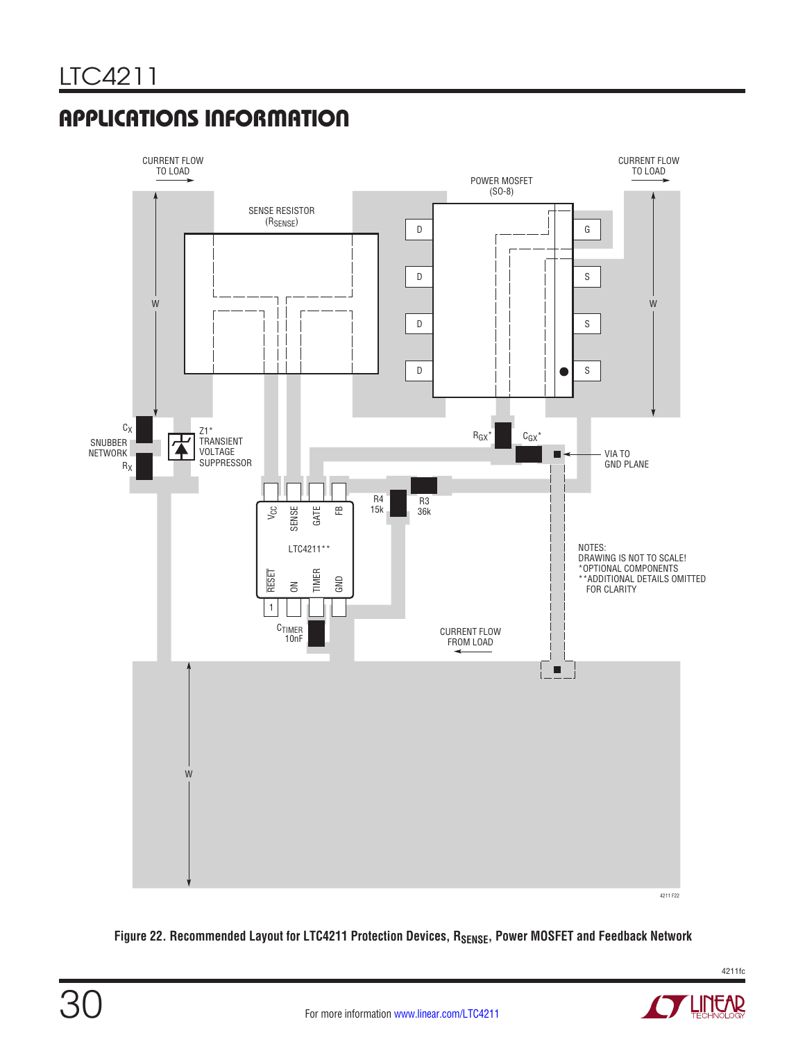

Figure 22. Recommended Layout for LTC4211 Protection Devices, R<sub>SENSE</sub>, Power MOSFET and Feedback Network



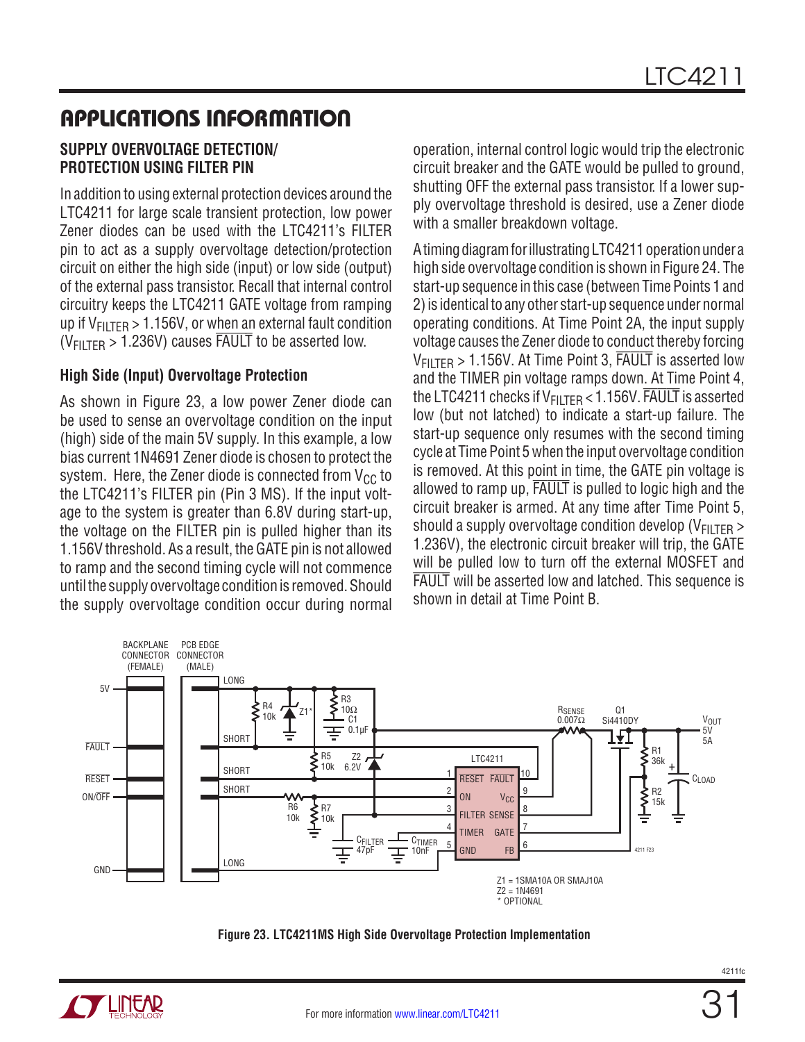#### **SUPPLY OVERVOLTAGE DETECTION/ PROTECTION USING FILTER PIN**

In addition to using external protection devices around the LTC4211 for large scale transient protection, low power Zener diodes can be used with the LTC4211's FILTER pin to act as a supply overvoltage detection/protection circuit on either the high side (input) or low side (output) of the external pass transistor. Recall that internal control circuitry keeps the LTC4211 GATE voltage from ramping up if  $V_{\text{FIITFR}} > 1.156V$ , or when an external fault condition  $(V_{\text{FII TFR}} > 1.236V)$  causes FAULT to be asserted low.

#### **High Side (Input) Overvoltage Protection**

As shown in Figure 23, a low power Zener diode can be used to sense an overvoltage condition on the input (high) side of the main 5V supply. In this example, a low bias current 1N4691 Zener diode is chosen to protect the system. Here, the Zener diode is connected from  $V_{CC}$  to the LTC4211's FILTER pin (Pin 3 MS). If the input voltage to the system is greater than 6.8V during start-up, the voltage on the FILTER pin is pulled higher than its 1.156V threshold. As a result, the GATE pin is not allowed to ramp and the second timing cycle will not commence until the supply overvoltage condition is removed. Should the supply overvoltage condition occur during normal operation, internal control logic would trip the electronic circuit breaker and the GATE would be pulled to ground, shutting OFF the external pass transistor. If a lower supply overvoltage threshold is desired, use a Zener diode with a smaller breakdown voltage.

A timing diagram for illustrating LTC4211 operation under a high side overvoltage condition is shown in Figure 24. The start-up sequence in this case (between Time Points 1 and 2) is identical to any other start-up sequence under normal operating conditions. At Time Point 2A, the input supply voltage causes the Zener diode to conduct thereby forcing  $V_{\text{FIITFR}} > 1.156V$ . At Time Point 3, FAULT is asserted low and the TIMER pin voltage ramps down. At Time Point 4, the LTC4211 checks if  $V_{\text{FII TFR}}$  < 1.156V. FAULT is asserted low (but not latched) to indicate a start-up failure. The start-up sequence only resumes with the second timing cycle at Time Point 5 when the input overvoltage condition is removed. At this point in time, the GATE pin voltage is allowed to ramp up, FAULT is pulled to logic high and the circuit breaker is armed. At any time after Time Point 5, should a supply overvoltage condition develop ( $V_{\text{FIITFR}}$ ) 1.236V), the electronic circuit breaker will trip, the GATE will be pulled low to turn off the external MOSFET and FAULT will be asserted low and latched. This sequence is shown in detail at Time Point B.





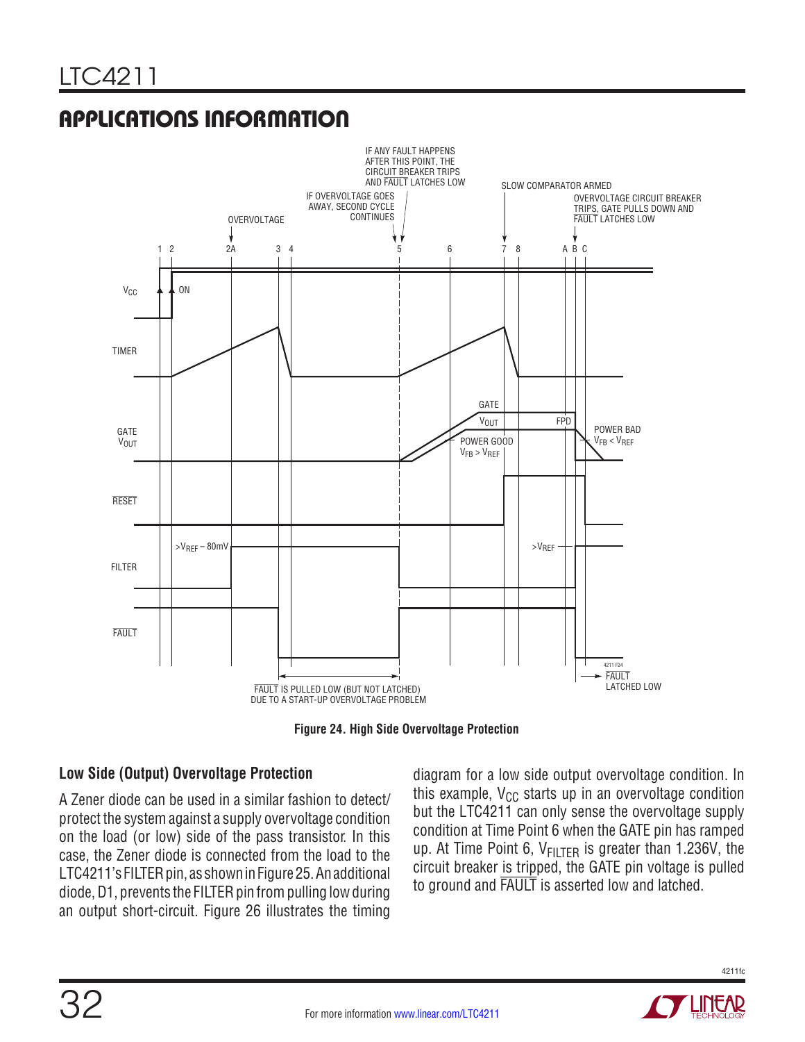

**Figure 24. High Side Overvoltage Protection**

#### **Low Side (Output) Overvoltage Protection**

A Zener diode can be used in a similar fashion to detect/ protect the system against a supply overvoltage condition on the load (or low) side of the pass transistor. In this case, the Zener diode is connected from the load to the LTC4211's FILTER pin, as shown in Figure 25. An additional diode, D1, prevents the FILTER pin from pulling low during an output short-circuit. Figure 26 illustrates the timing

diagram for a low side output overvoltage condition. In this example,  $V_{CC}$  starts up in an overvoltage condition but the LTC4211 can only sense the overvoltage supply condition at Time Point 6 when the GATE pin has ramped up. At Time Point 6,  $V_{FILTER}$  is greater than 1.236V, the circuit breaker is tripped, the GATE pin voltage is pulled to ground and FAULT is asserted low and latched.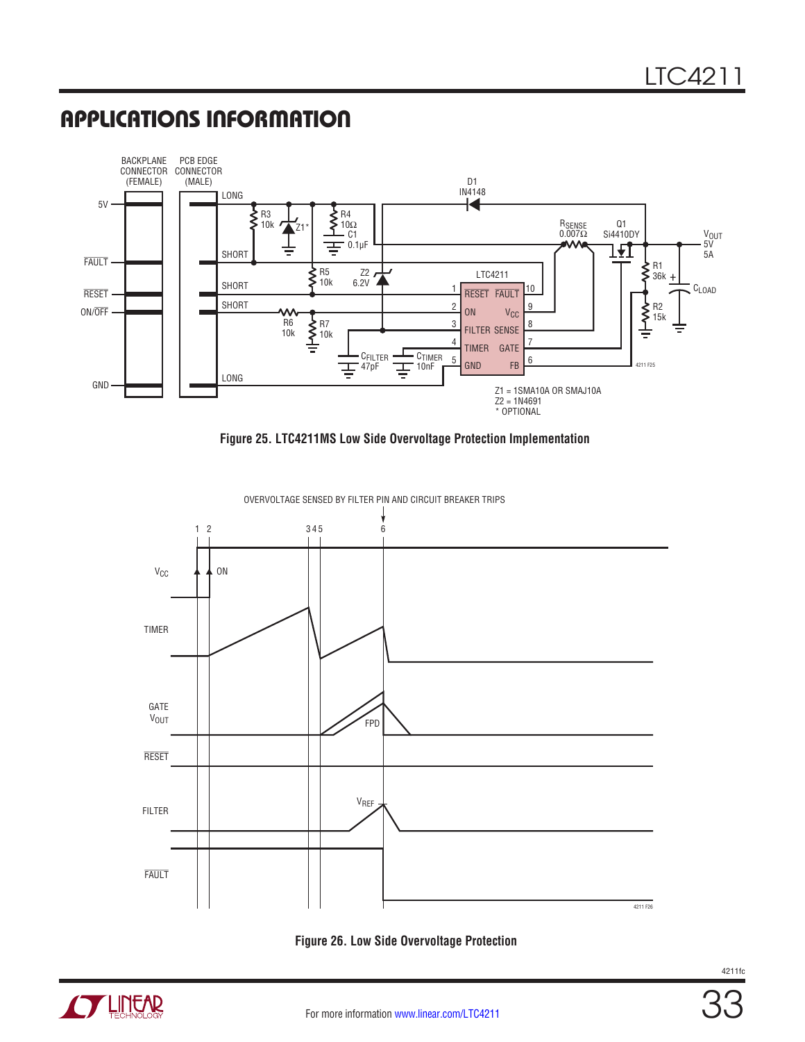

**Figure 25. LTC4211MS Low Side Overvoltage Protection Implementation**







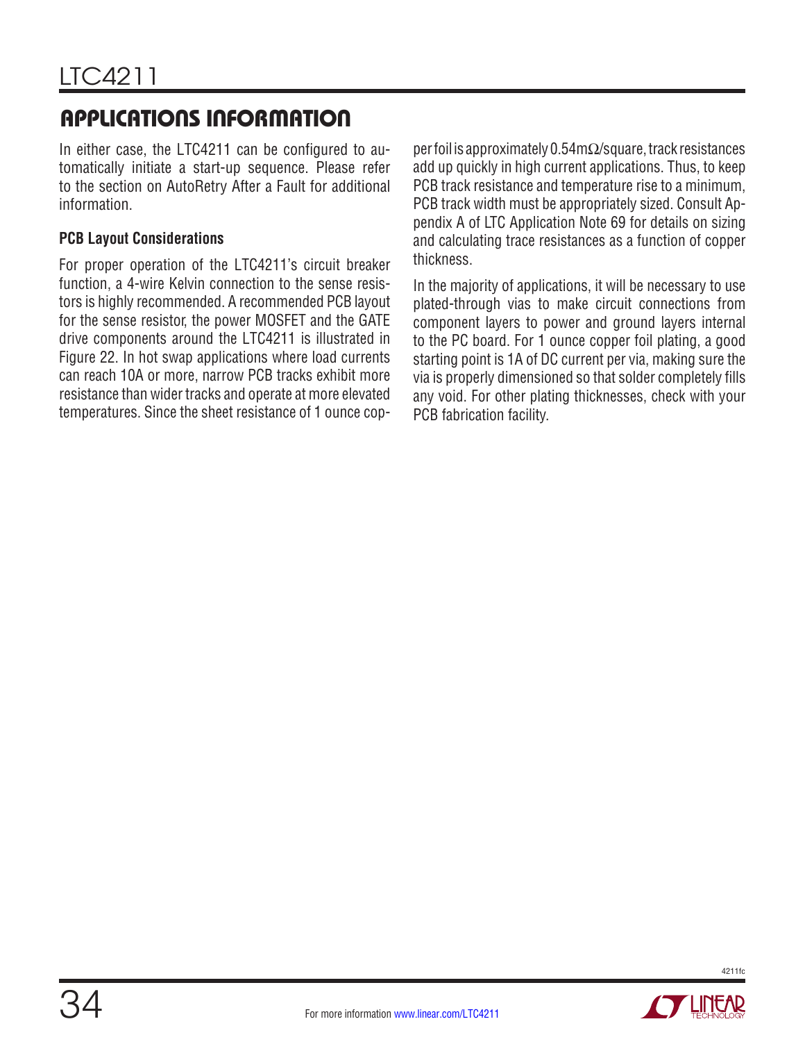In either case, the LTC4211 can be configured to automatically initiate a start-up sequence. Please refer to the section on AutoRetry After a Fault for additional information.

#### **PCB Layout Considerations**

For proper operation of the LTC4211's circuit breaker function, a 4-wire Kelvin connection to the sense resistors is highly recommended. A recommended PCB layout for the sense resistor, the power MOSFET and the GATE drive components around the LTC4211 is illustrated in Figure 22. In hot swap applications where load currents can reach 10A or more, narrow PCB tracks exhibit more resistance than wider tracks and operate at more elevated temperatures. Since the sheet resistance of 1 ounce copper foil is approximately 0.54mΩ/square, track resistances add up quickly in high current applications. Thus, to keep PCB track resistance and temperature rise to a minimum, PCB track width must be appropriately sized. Consult Appendix A of LTC Application Note 69 for details on sizing and calculating trace resistances as a function of copper thickness.

In the majority of applications, it will be necessary to use plated-through vias to make circuit connections from component layers to power and ground layers internal to the PC board. For 1 ounce copper foil plating, a good starting point is 1A of DC current per via, making sure the via is properly dimensioned so that solder completely fills any void. For other plating thicknesses, check with your PCB fabrication facility.



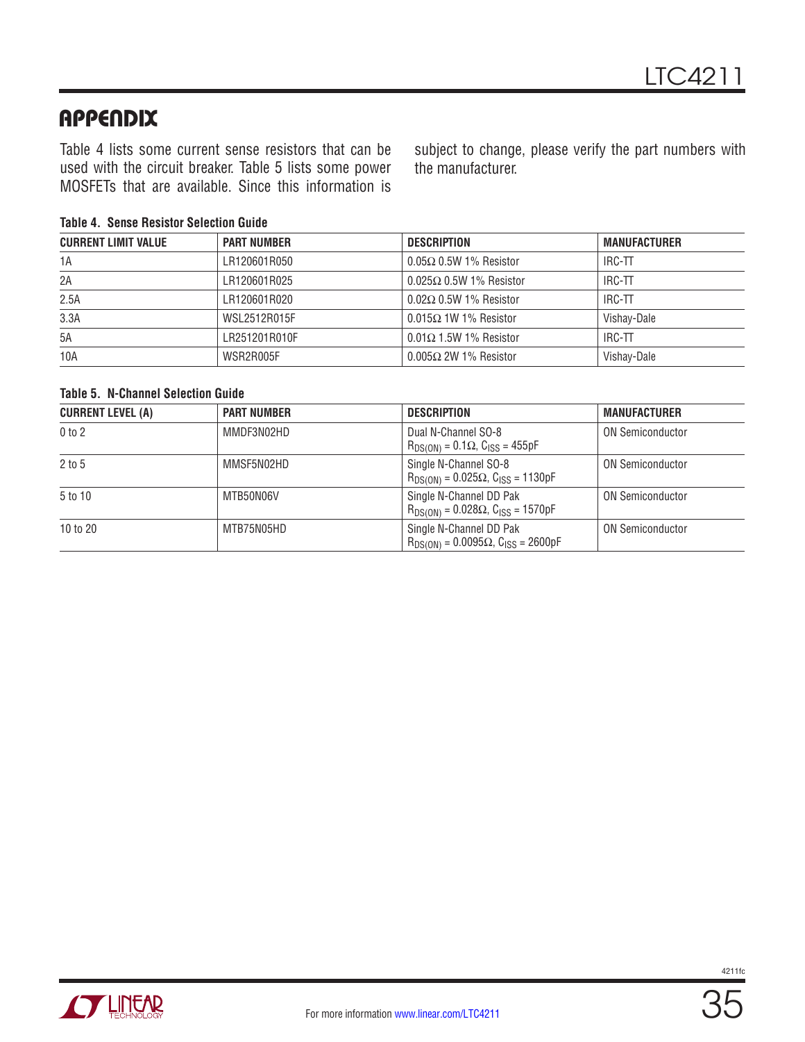### APPENDIX

Table 4 lists some current sense resistors that can be used with the circuit breaker. Table 5 lists some power MOSFETs that are available. Since this information is subject to change, please verify the part numbers with the manufacturer.

#### **Table 4. Sense Resistor Selection Guide**

| <b>CURRENT LIMIT VALUE</b> | <b>PART NUMBER</b> | <b>DESCRIPTION</b>             | <b>MANUFACTURER</b> |
|----------------------------|--------------------|--------------------------------|---------------------|
| 1A                         | LR120601R050       | $0.05\Omega$ 0.5W 1% Resistor  | IRC-TT              |
| 2A                         | LR120601R025       | $0.025\Omega$ 0.5W 1% Resistor | IRC-TT              |
| 2.5A                       | LR120601R020       | $0.02\Omega$ 0.5W 1% Resistor  | IRC-TT              |
| 3.3A                       | WSL2512R015F       | $0.015\Omega$ 1W 1% Resistor   | Vishay-Dale         |
| 5A                         | LR251201R010F      | $0.01\Omega$ 1.5W 1% Resistor  | IRC-TT              |
| 10A                        | WSR2R005F          | $0.005\Omega$ 2W 1% Resistor   | Vishay-Dale         |

#### **Table 5. N-Channel Selection Guide**

| <b>CURRENT LEVEL (A)</b> | <b>PART NUMBER</b> | <b>DESCRIPTION</b>                                                              | <b>MANUFACTURER</b>     |
|--------------------------|--------------------|---------------------------------------------------------------------------------|-------------------------|
| $0$ to $2$               | MMDF3N02HD         | Dual N-Channel SO-8<br>$R_{DS(ON)} = 0.1\Omega$ , C <sub>ISS</sub> = 455pF      | <b>ON Semiconductor</b> |
| $2$ to 5                 | MMSF5N02HD         | Single N-Channel SO-8<br>$R_{DS(ON)} = 0.025\Omega$ , C <sub>ISS</sub> = 1130pF | <b>ON Semiconductor</b> |
| 5 to 10                  | MTB50N06V          | Single N-Channel DD Pak<br>$R_{DS(ON)} = 0.028\Omega$ , $C_{ISS} = 1570pF$      | <b>ON Semiconductor</b> |
| 10 to 20                 | MTB75N05HD         | Single N-Channel DD Pak<br>$R_{DS(ON)} = 0.0095\Omega$ , $C_{ISS} = 2600pF$     | <b>ON Semiconductor</b> |

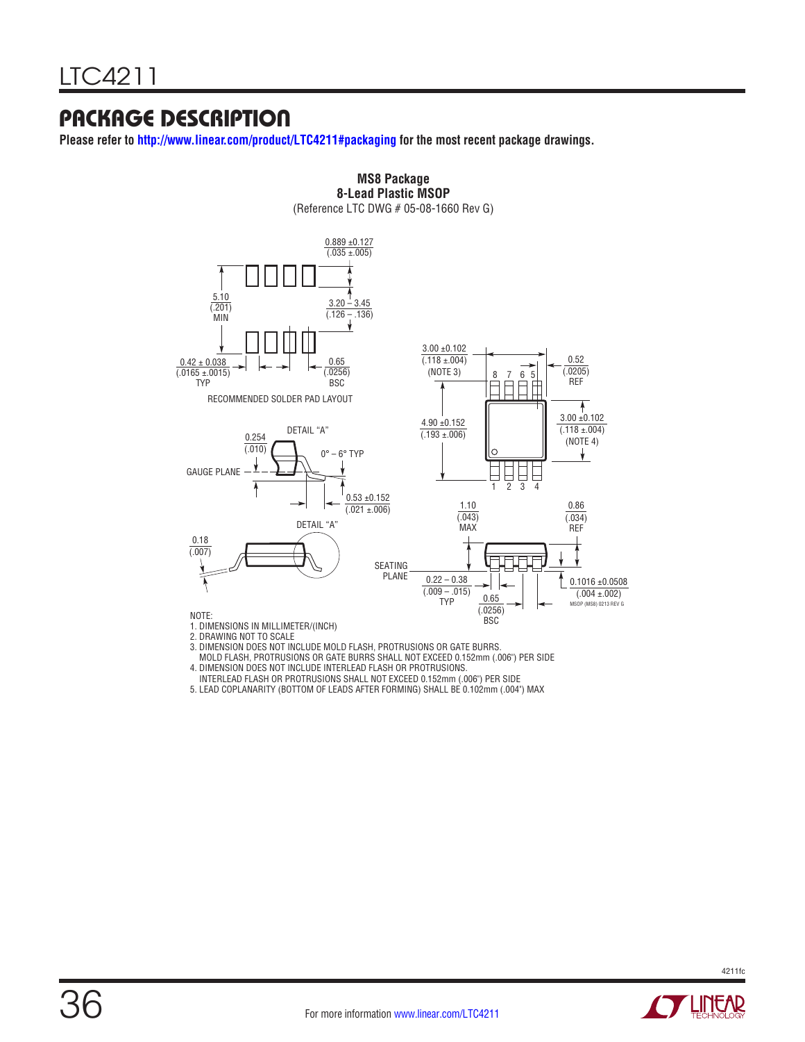### PACKAGE DESCRIPTION

**Please refer to <http://www.linear.com/product/LTC4211#packaging>for the most recent package drawings.**



**MS8 Package 8-Lead Plastic MSOP**

(Reference LTC DWG # 05-08-1660 Rev G)

3. DIMENSION DOES NOT INCLUDE MOLD FLASH, PROTRUSIONS OR GATE BURRS.

- INTERLEAD FLASH OR PROTRUSIONS SHALL NOT EXCEED 0.152mm (.006") PER SIDE
- 5. LEAD COPLANARITY (BOTTOM OF LEADS AFTER FORMING) SHALL BE 0.102mm (.004") MAX



MOLD FLASH, PROTRUSIONS OR GATE BURRS SHALL NOT EXCEED 0.152mm (.006") PER SIDE 4. DIMENSION DOES NOT INCLUDE INTERLEAD FLASH OR PROTRUSIONS.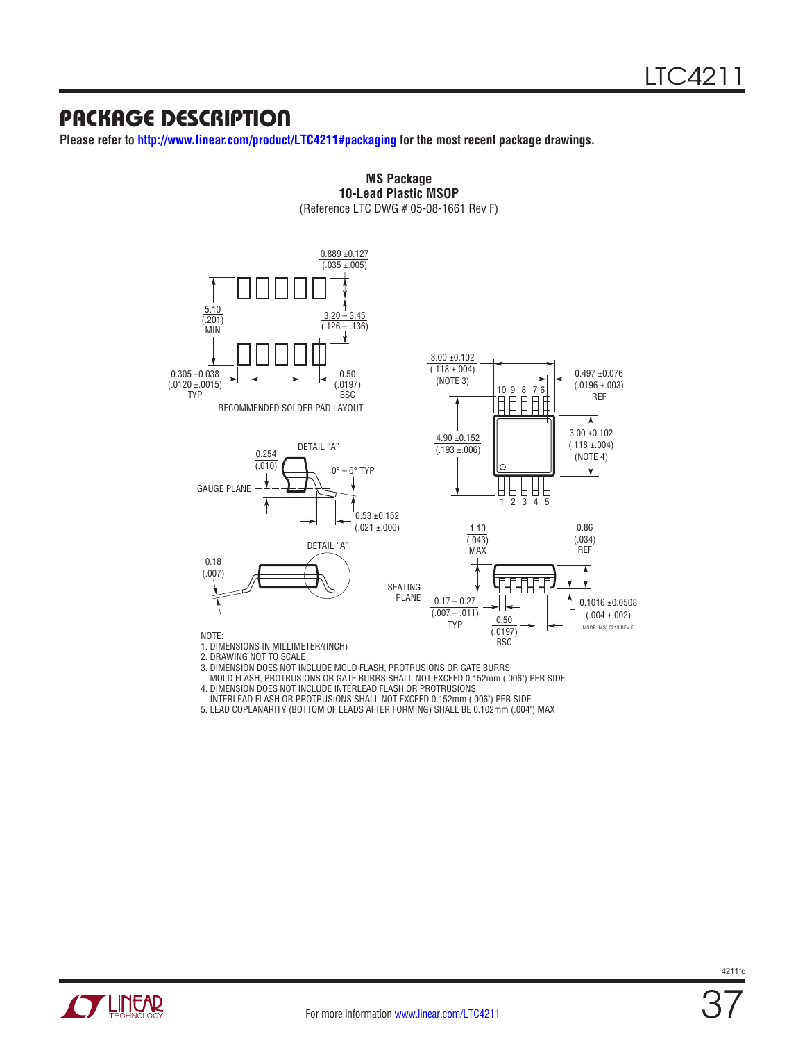### PACKAGE DESCRIPTION

**Please refer to <http://www.linear.com/product/LTC4211#packaging>for the most recent package drawings.**



**MS Package 10-Lead Plastic MSOP** (Reference LTC DWG # 05-08-1661 Rev F)

 MOLD FLASH, PROTRUSIONS OR GATE BURRS SHALL NOT EXCEED 0.152mm (.006") PER SIDE 4. DIMENSION DOES NOT INCLUDE INTERLEAD FLASH OR PROTRUSIONS.

INTERLEAD FLASH OR PROTRUSIONS SHALL NOT EXCEED 0.152mm (.006") PER SIDE

5. LEAD COPLANARITY (BOTTOM OF LEADS AFTER FORMING) SHALL BE 0.102mm (.004") MAX

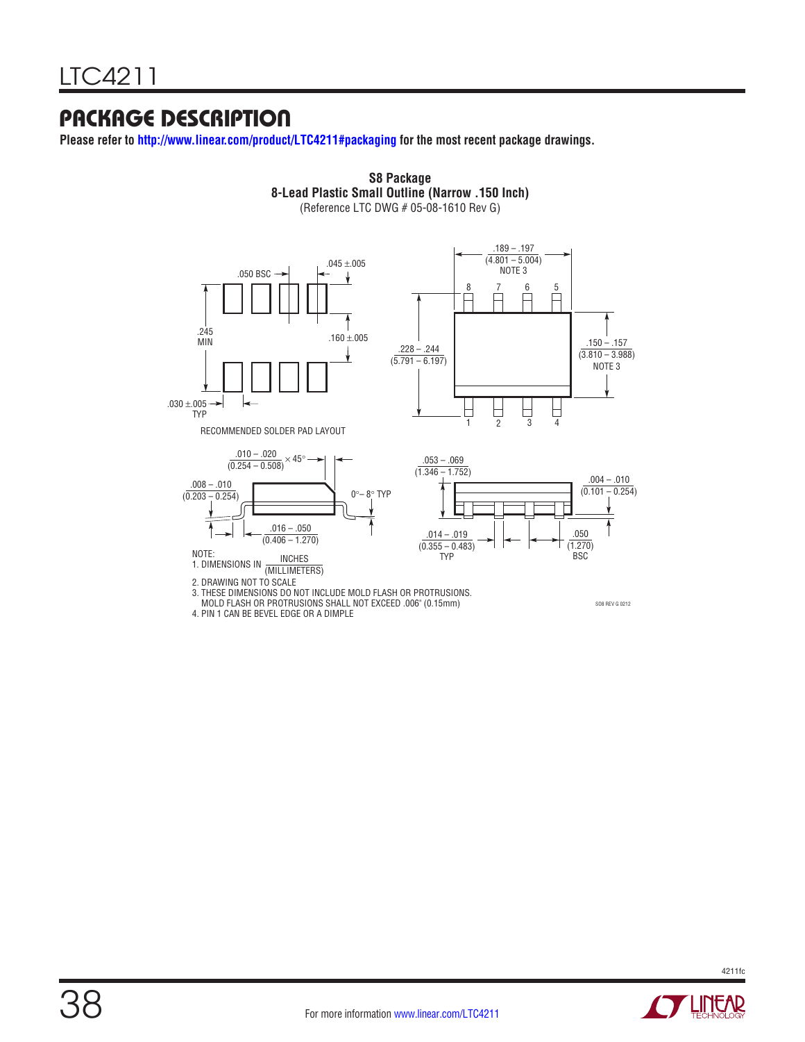### PACKAGE DESCRIPTION

**Please refer to <http://www.linear.com/product/LTC4211#packaging>for the most recent package drawings.**



**S8 Package 8-Lead Plastic Small Outline (Narrow .150 Inch)**

4. PIN 1 CAN BE BEVEL EDGE OR A DIMPLE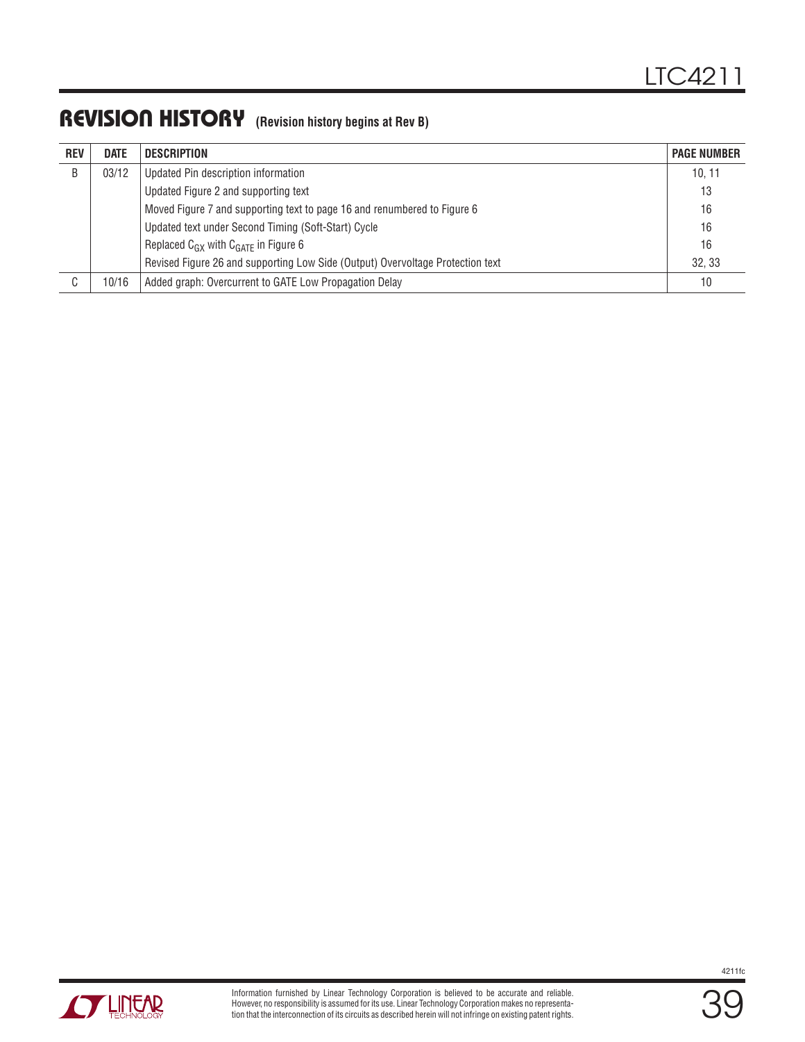### REVISION HISTORY **(Revision history begins at Rev B)**

| <b>REV</b> | <b>DATE</b> | <b>DESCRIPTION</b>                                                             | <b>PAGE NUMBER</b> |
|------------|-------------|--------------------------------------------------------------------------------|--------------------|
| B          | 03/12       | Updated Pin description information                                            | 10, 11             |
|            |             | Updated Figure 2 and supporting text                                           | 13                 |
|            |             | Moved Figure 7 and supporting text to page 16 and renumbered to Figure 6       | 16                 |
|            |             | Updated text under Second Timing (Soft-Start) Cycle                            | 16                 |
|            |             | Replaced $C_{GX}$ with $C_{GATE}$ in Figure 6                                  | 16                 |
|            |             | Revised Figure 26 and supporting Low Side (Output) Overvoltage Protection text | 32.33              |
| r          | 10/16       | Added graph: Overcurrent to GATE Low Propagation Delay                         | 10                 |